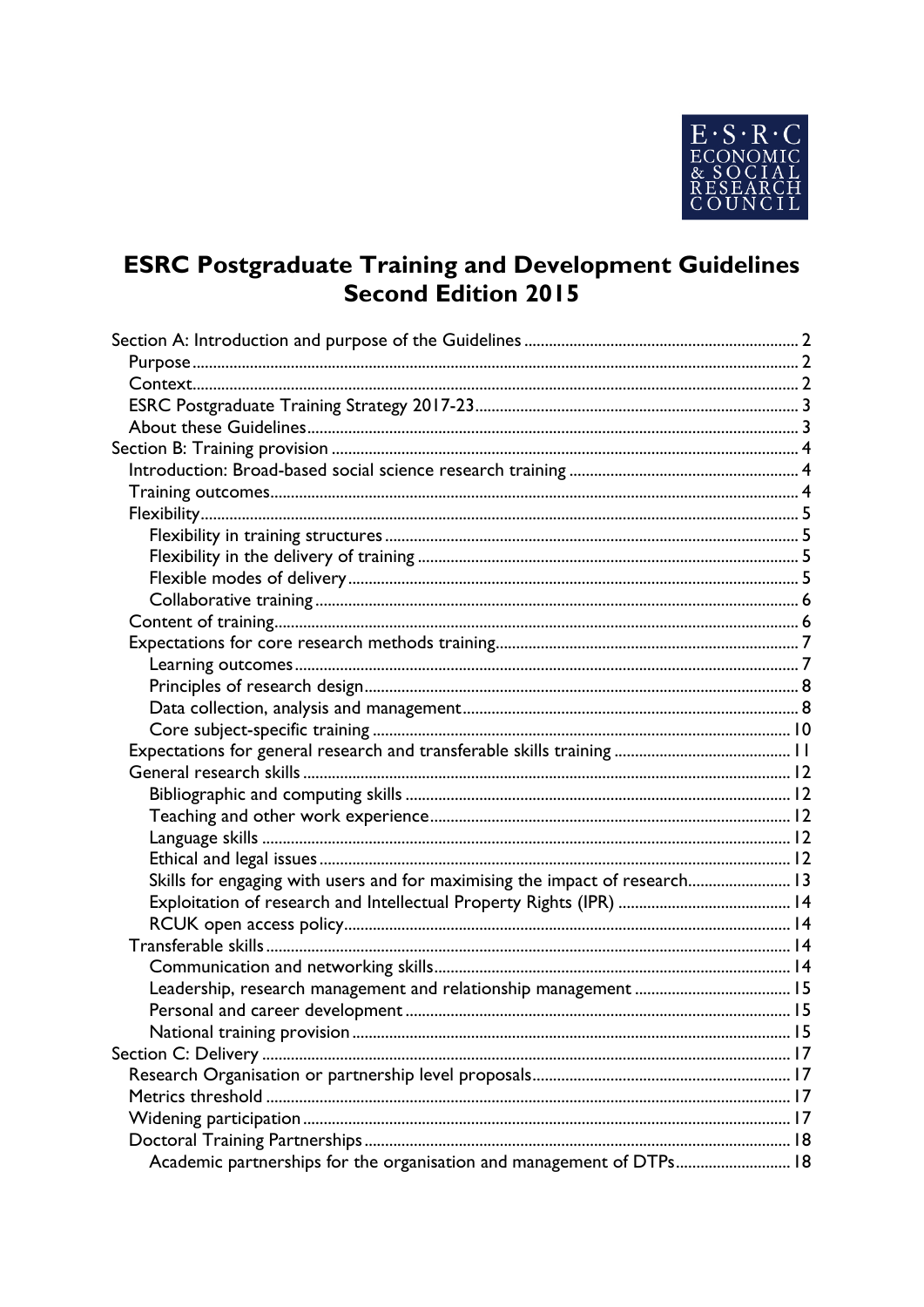

# **ESRC Postgraduate Training and Development Guidelines<br>Second Edition 2015**

| Skills for engaging with users and for maximising the impact of research 13 |  |
|-----------------------------------------------------------------------------|--|
|                                                                             |  |
|                                                                             |  |
|                                                                             |  |
|                                                                             |  |
|                                                                             |  |
|                                                                             |  |
|                                                                             |  |
|                                                                             |  |
|                                                                             |  |
|                                                                             |  |
|                                                                             |  |
|                                                                             |  |
| Academic partnerships for the organisation and management of DTPs 18        |  |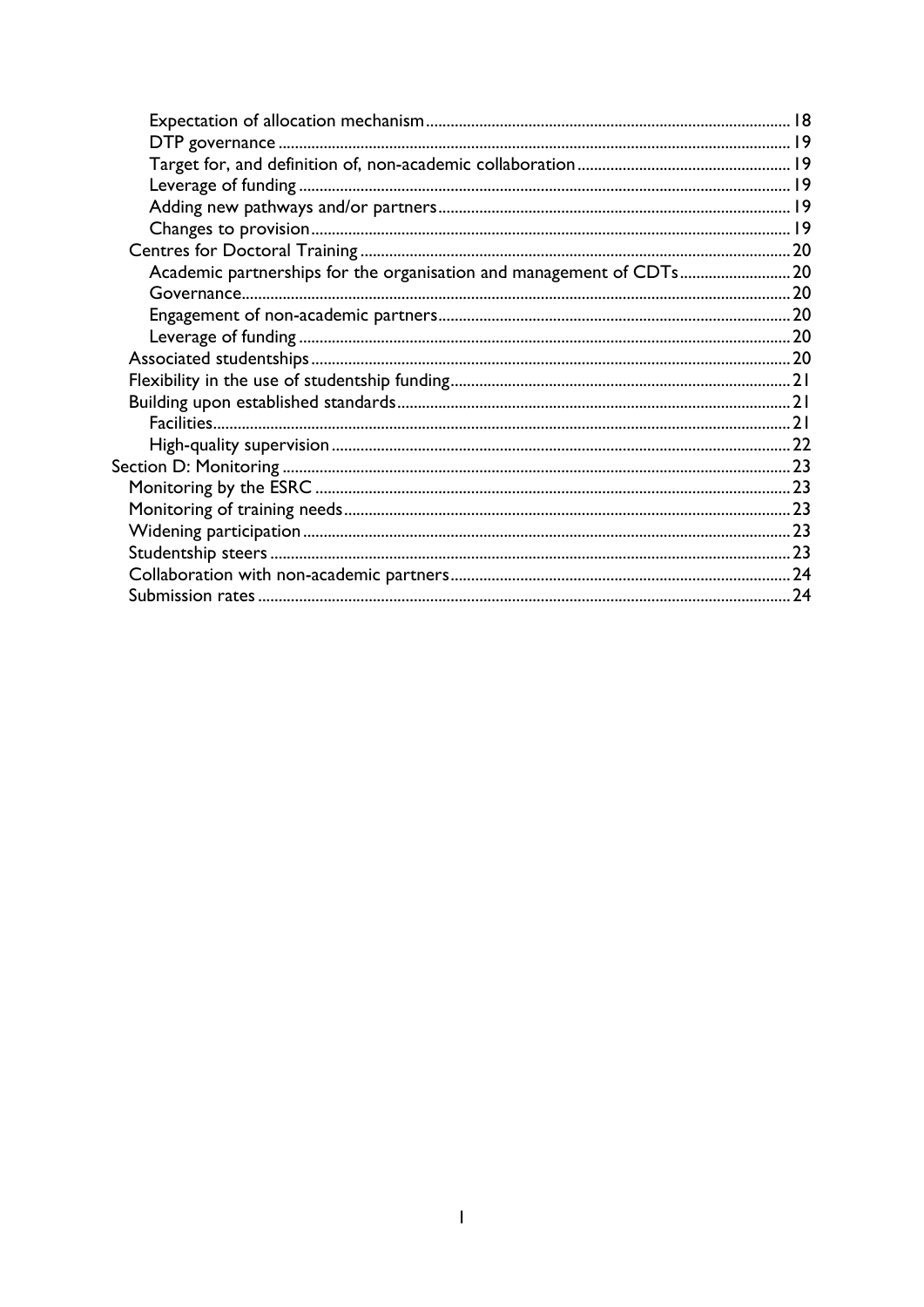| Academic partnerships for the organisation and management of CDTs20 |  |
|---------------------------------------------------------------------|--|
|                                                                     |  |
|                                                                     |  |
|                                                                     |  |
|                                                                     |  |
|                                                                     |  |
|                                                                     |  |
|                                                                     |  |
|                                                                     |  |
|                                                                     |  |
|                                                                     |  |
|                                                                     |  |
|                                                                     |  |
|                                                                     |  |
|                                                                     |  |
|                                                                     |  |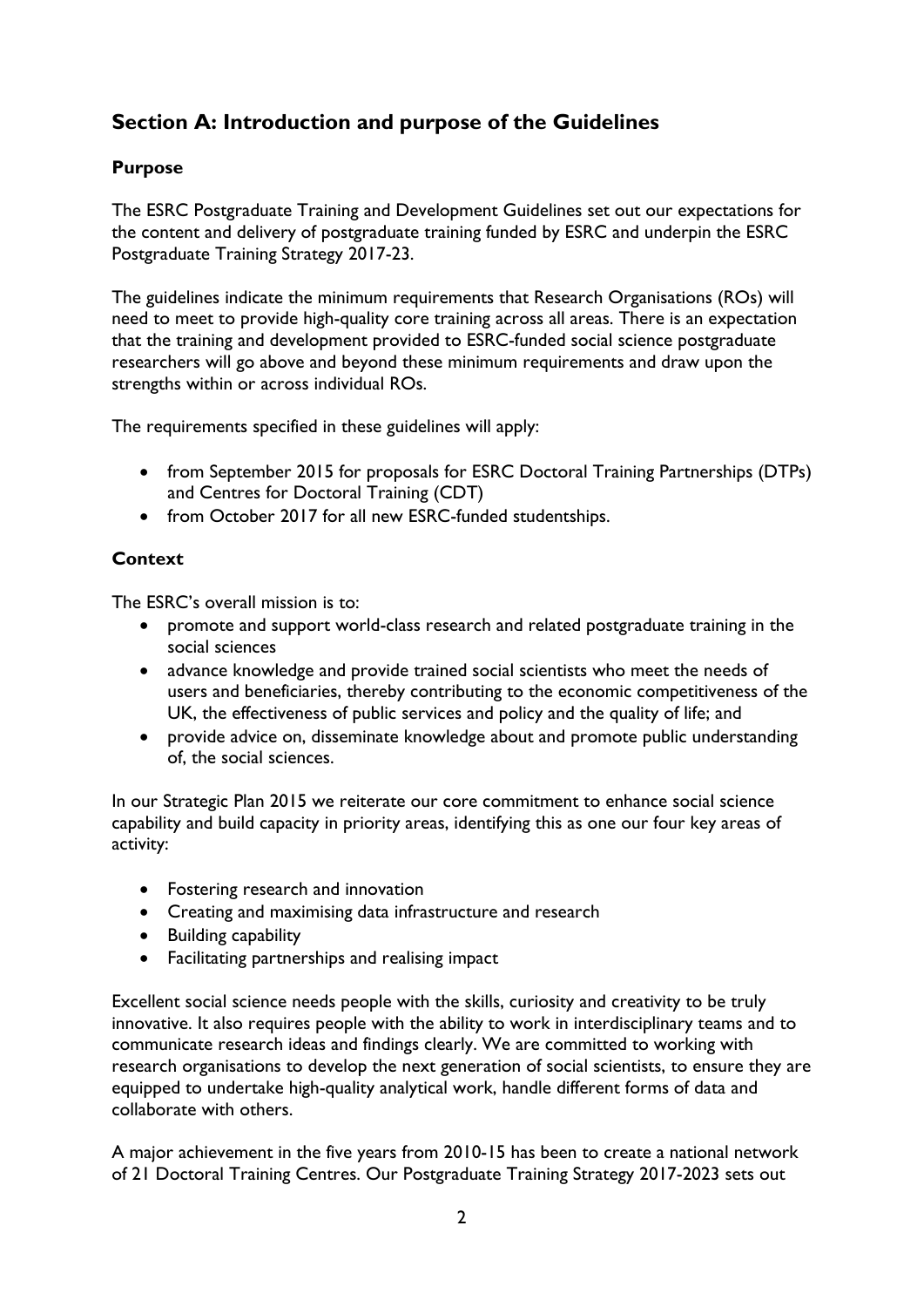# <span id="page-2-0"></span>**Section A: Introduction and purpose of the Guidelines**

# <span id="page-2-1"></span>**Purpose**

The ESRC Postgraduate Training and Development Guidelines set out our expectations for the content and delivery of postgraduate training funded by ESRC and underpin the ESRC Postgraduate Training Strategy 2017-23.

The guidelines indicate the minimum requirements that Research Organisations (ROs) will need to meet to provide high-quality core training across all areas. There is an expectation that the training and development provided to ESRC-funded social science postgraduate researchers will go above and beyond these minimum requirements and draw upon the strengths within or across individual ROs.

The requirements specified in these guidelines will apply:

- from September 2015 for proposals for ESRC Doctoral Training Partnerships (DTPs) and Centres for Doctoral Training (CDT)
- from October 2017 for all new ESRC-funded studentships.

# <span id="page-2-2"></span>**Context**

The ESRC's overall mission is to:

- promote and support world-class research and related postgraduate training in the social sciences
- advance knowledge and provide trained social scientists who meet the needs of users and beneficiaries, thereby contributing to the economic competitiveness of the UK, the effectiveness of public services and policy and the quality of life; and
- provide advice on, disseminate knowledge about and promote public understanding of, the social sciences.

In our Strategic Plan 2015 we reiterate our core commitment to enhance social science capability and build capacity in priority areas, identifying this as one our four key areas of activity:

- Fostering research and innovation
- Creating and maximising data infrastructure and research
- Building capability
- Facilitating partnerships and realising impact

Excellent social science needs people with the skills, curiosity and creativity to be truly innovative. It also requires people with the ability to work in interdisciplinary teams and to communicate research ideas and findings clearly. We are committed to working with research organisations to develop the next generation of social scientists, to ensure they are equipped to undertake high-quality analytical work, handle different forms of data and collaborate with others.

A major achievement in the five years from 2010-15 has been to create a national network of 21 Doctoral Training Centres. Our Postgraduate Training Strategy 2017-2023 sets out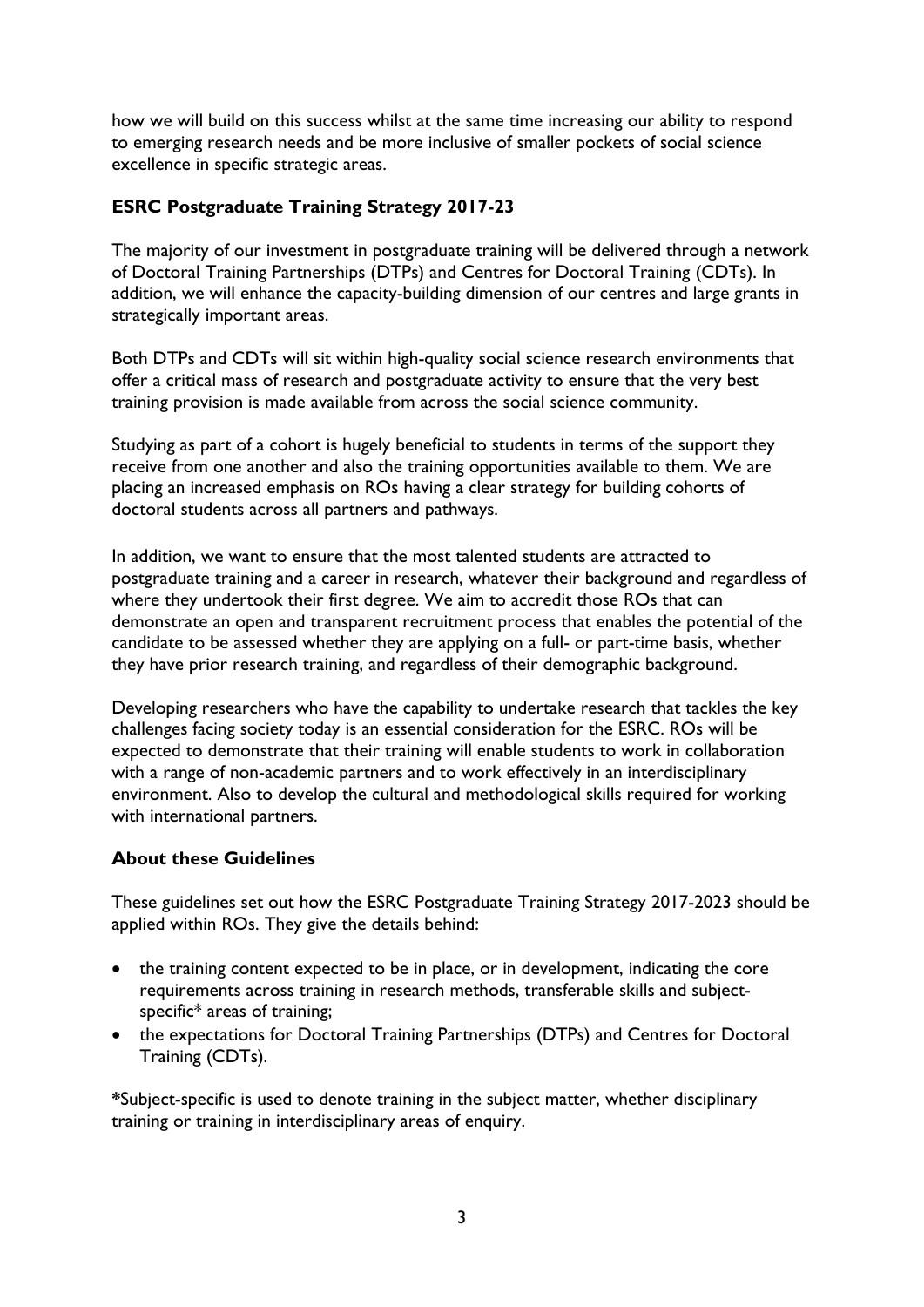how we will build on this success whilst at the same time increasing our ability to respond to emerging research needs and be more inclusive of smaller pockets of social science excellence in specific strategic areas.

# <span id="page-3-0"></span>**ESRC Postgraduate Training Strategy 2017-23**

The majority of our investment in postgraduate training will be delivered through a network of Doctoral Training Partnerships (DTPs) and Centres for Doctoral Training (CDTs). In addition, we will enhance the capacity-building dimension of our centres and large grants in strategically important areas.

Both DTPs and CDTs will sit within high-quality social science research environments that offer a critical mass of research and postgraduate activity to ensure that the very best training provision is made available from across the social science community.

Studying as part of a cohort is hugely beneficial to students in terms of the support they receive from one another and also the training opportunities available to them. We are placing an increased emphasis on ROs having a clear strategy for building cohorts of doctoral students across all partners and pathways.

In addition, we want to ensure that the most talented students are attracted to postgraduate training and a career in research, whatever their background and regardless of where they undertook their first degree. We aim to accredit those ROs that can demonstrate an open and transparent recruitment process that enables the potential of the candidate to be assessed whether they are applying on a full- or part-time basis, whether they have prior research training, and regardless of their demographic background.

Developing researchers who have the capability to undertake research that tackles the key challenges facing society today is an essential consideration for the ESRC. ROs will be expected to demonstrate that their training will enable students to work in collaboration with a range of non-academic partners and to work effectively in an interdisciplinary environment. Also to develop the cultural and methodological skills required for working with international partners.

### <span id="page-3-1"></span>**About these Guidelines**

These guidelines set out how the ESRC Postgraduate Training Strategy 2017-2023 should be applied within ROs. They give the details behind:

- the training content expected to be in place, or in development, indicating the core requirements across training in research methods, transferable skills and subjectspecific\* areas of training;
- the expectations for Doctoral Training Partnerships (DTPs) and Centres for Doctoral Training (CDTs).

**\***Subject-specific is used to denote training in the subject matter, whether disciplinary training or training in interdisciplinary areas of enquiry.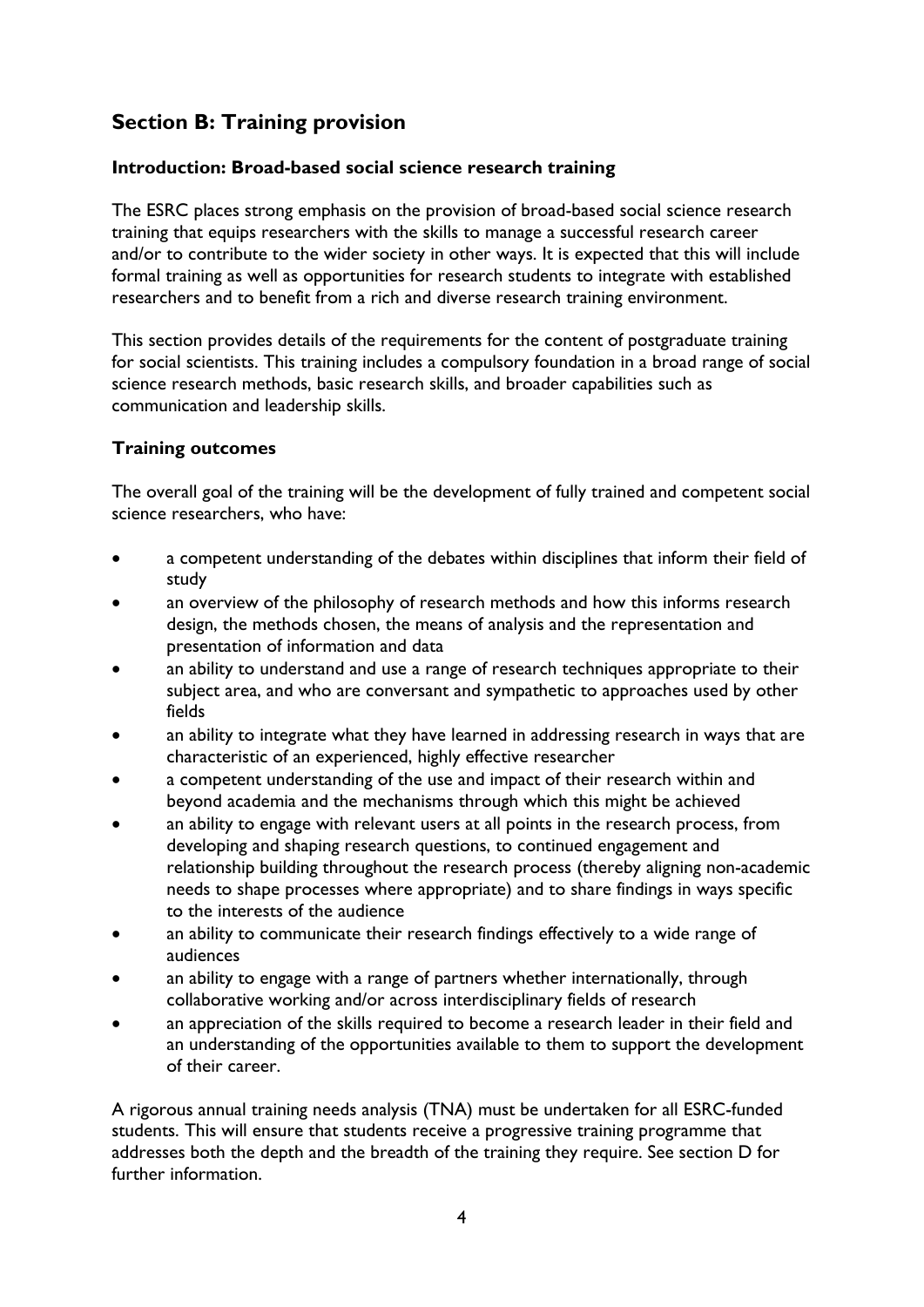# <span id="page-4-0"></span>**Section B: Training provision**

# <span id="page-4-1"></span>**Introduction: Broad-based social science research training**

The ESRC places strong emphasis on the provision of broad-based social science research training that equips researchers with the skills to manage a successful research career and/or to contribute to the wider society in other ways. It is expected that this will include formal training as well as opportunities for research students to integrate with established researchers and to benefit from a rich and diverse research training environment.

This section provides details of the requirements for the content of postgraduate training for social scientists. This training includes a compulsory foundation in a broad range of social science research methods, basic research skills, and broader capabilities such as communication and leadership skills.

# <span id="page-4-2"></span>**Training outcomes**

The overall goal of the training will be the development of fully trained and competent social science researchers, who have:

- a competent understanding of the debates within disciplines that inform their field of study
- an overview of the philosophy of research methods and how this informs research design, the methods chosen, the means of analysis and the representation and presentation of information and data
- an ability to understand and use a range of research techniques appropriate to their subject area, and who are conversant and sympathetic to approaches used by other fields
- an ability to integrate what they have learned in addressing research in ways that are characteristic of an experienced, highly effective researcher
- a competent understanding of the use and impact of their research within and beyond academia and the mechanisms through which this might be achieved
- an ability to engage with relevant users at all points in the research process, from developing and shaping research questions, to continued engagement and relationship building throughout the research process (thereby aligning non-academic needs to shape processes where appropriate) and to share findings in ways specific to the interests of the audience
- an ability to communicate their research findings effectively to a wide range of audiences
- an ability to engage with a range of partners whether internationally, through collaborative working and/or across interdisciplinary fields of research
- an appreciation of the skills required to become a research leader in their field and an understanding of the opportunities available to them to support the development of their career.

A rigorous annual training needs analysis (TNA) must be undertaken for all ESRC-funded students. This will ensure that students receive a progressive training programme that addresses both the depth and the breadth of the training they require. See section D for further information.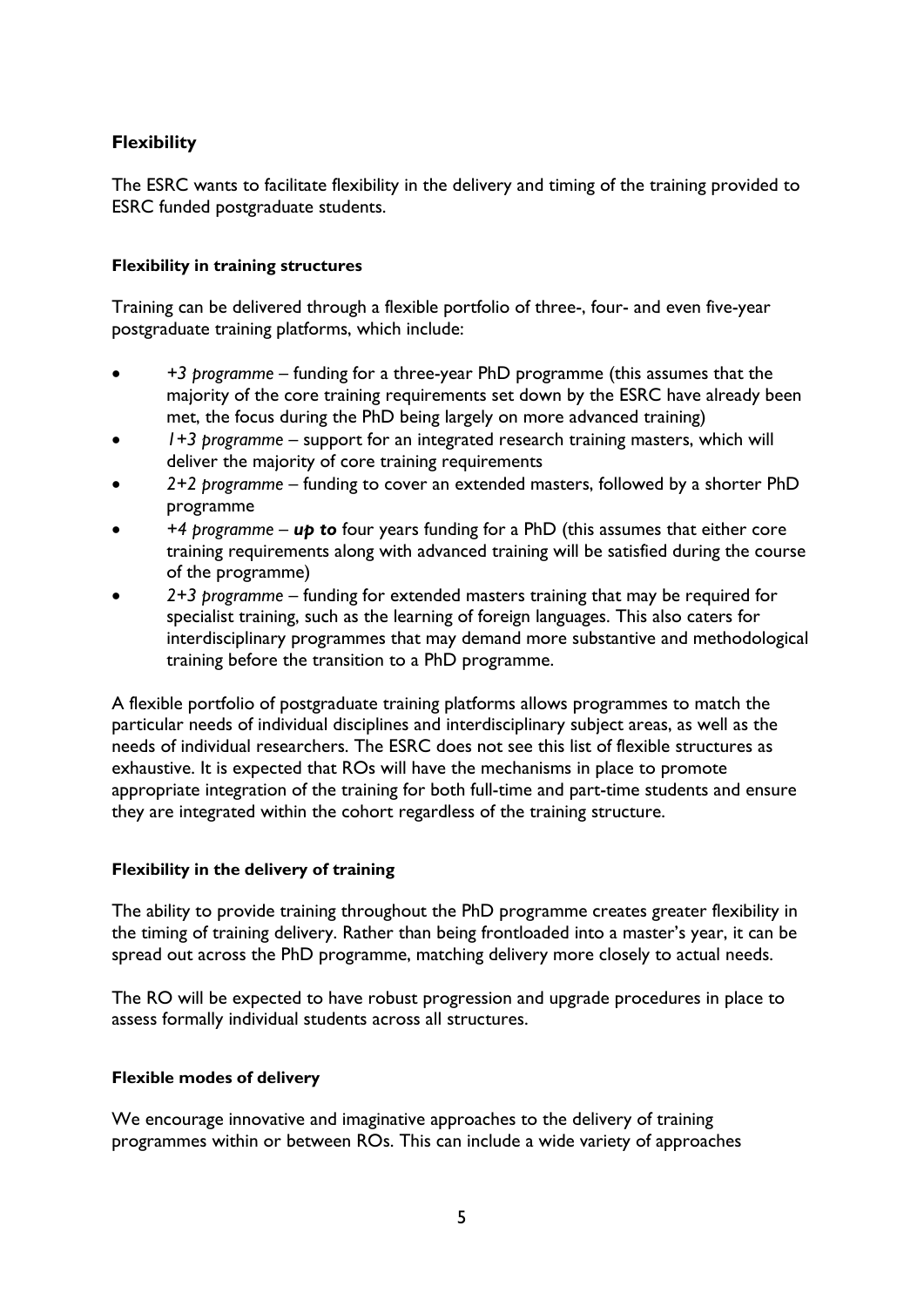# <span id="page-5-0"></span>**Flexibility**

The ESRC wants to facilitate flexibility in the delivery and timing of the training provided to ESRC funded postgraduate students.

### <span id="page-5-1"></span>**Flexibility in training structures**

Training can be delivered through a flexible portfolio of three-, four- and even five-year postgraduate training platforms, which include:

- *+3 programme* funding for a three-year PhD programme (this assumes that the majority of the core training requirements set down by the ESRC have already been met, the focus during the PhD being largely on more advanced training)
- *1+3 programme* support for an integrated research training masters, which will deliver the majority of core training requirements
- *2+2 programme* funding to cover an extended masters, followed by a shorter PhD programme
- *+4 programme up to* four years funding for a PhD (this assumes that either core training requirements along with advanced training will be satisfied during the course of the programme)
- *2+3 programme* funding for extended masters training that may be required for specialist training, such as the learning of foreign languages. This also caters for interdisciplinary programmes that may demand more substantive and methodological training before the transition to a PhD programme.

A flexible portfolio of postgraduate training platforms allows programmes to match the particular needs of individual disciplines and interdisciplinary subject areas, as well as the needs of individual researchers. The ESRC does not see this list of flexible structures as exhaustive. It is expected that ROs will have the mechanisms in place to promote appropriate integration of the training for both full-time and part-time students and ensure they are integrated within the cohort regardless of the training structure.

### <span id="page-5-2"></span>**Flexibility in the delivery of training**

The ability to provide training throughout the PhD programme creates greater flexibility in the timing of training delivery. Rather than being frontloaded into a master's year, it can be spread out across the PhD programme, matching delivery more closely to actual needs.

The RO will be expected to have robust progression and upgrade procedures in place to assess formally individual students across all structures.

### <span id="page-5-3"></span>**Flexible modes of delivery**

We encourage innovative and imaginative approaches to the delivery of training programmes within or between ROs. This can include a wide variety of approaches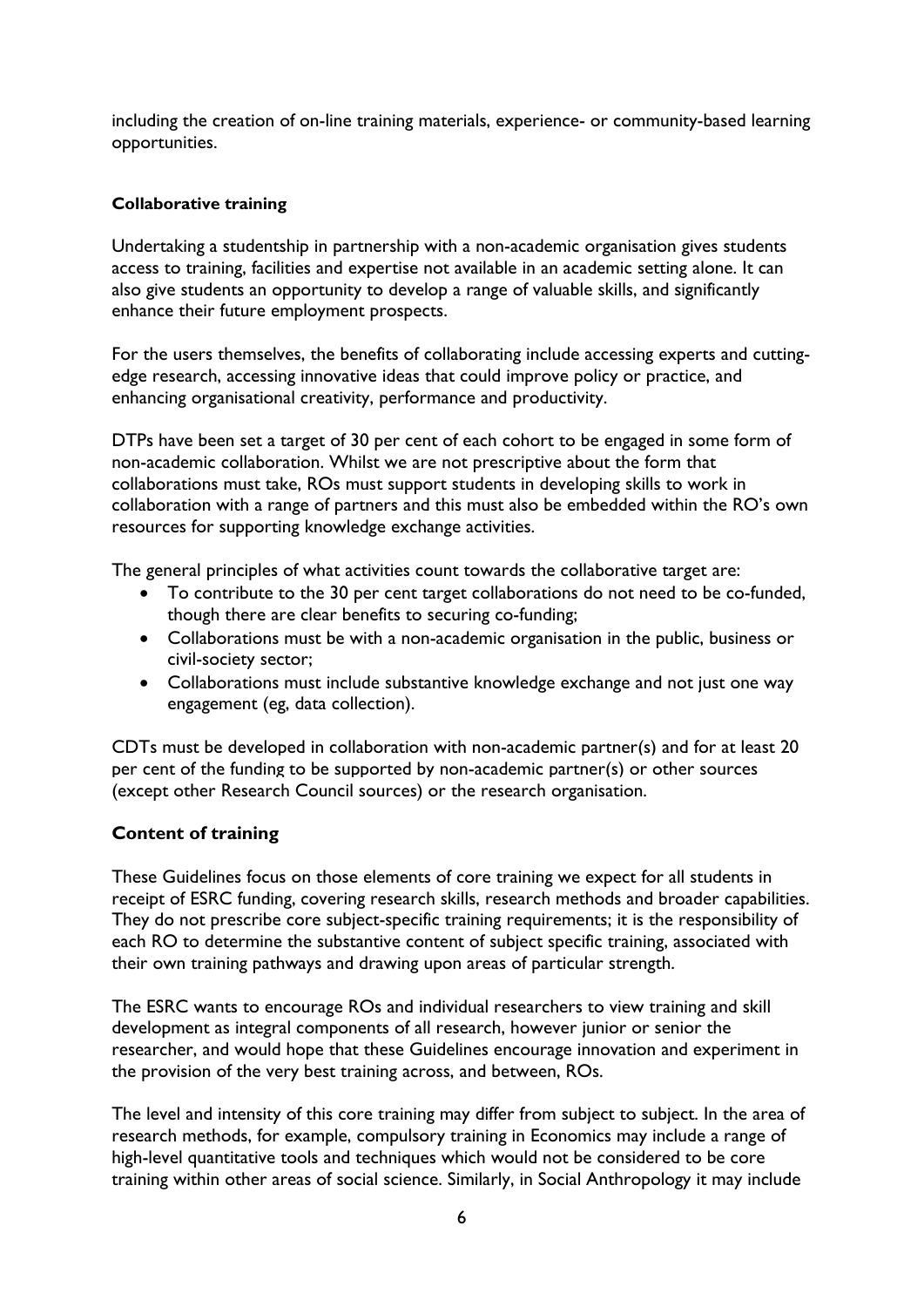including the creation of on-line training materials, experience- or community-based learning opportunities.

### <span id="page-6-0"></span>**Collaborative training**

Undertaking a studentship in partnership with a non-academic organisation gives students access to training, facilities and expertise not available in an academic setting alone. It can also give students an opportunity to develop a range of valuable skills, and significantly enhance their future employment prospects.

For the users themselves, the benefits of collaborating include accessing experts and cuttingedge research, accessing innovative ideas that could improve policy or practice, and enhancing organisational creativity, performance and productivity.

DTPs have been set a target of 30 per cent of each cohort to be engaged in some form of non-academic collaboration. Whilst we are not prescriptive about the form that collaborations must take, ROs must support students in developing skills to work in collaboration with a range of partners and this must also be embedded within the RO's own resources for supporting knowledge exchange activities.

The general principles of what activities count towards the collaborative target are:

- To contribute to the 30 per cent target collaborations do not need to be co-funded, though there are clear benefits to securing co-funding;
- Collaborations must be with a non-academic organisation in the public, business or civil-society sector;
- Collaborations must include substantive knowledge exchange and not just one way engagement (eg, data collection).

CDTs must be developed in collaboration with non-academic partner(s) and for at least 20 per cent of the funding to be supported by non-academic partner(s) or other sources (except other Research Council sources) or the research organisation.

### <span id="page-6-1"></span>**Content of training**

These Guidelines focus on those elements of core training we expect for all students in receipt of ESRC funding, covering research skills, research methods and broader capabilities. They do not prescribe core subject-specific training requirements; it is the responsibility of each RO to determine the substantive content of subject specific training, associated with their own training pathways and drawing upon areas of particular strength.

The ESRC wants to encourage ROs and individual researchers to view training and skill development as integral components of all research, however junior or senior the researcher, and would hope that these Guidelines encourage innovation and experiment in the provision of the very best training across, and between, ROs.

The level and intensity of this core training may differ from subject to subject. In the area of research methods, for example, compulsory training in Economics may include a range of high-level quantitative tools and techniques which would not be considered to be core training within other areas of social science. Similarly, in Social Anthropology it may include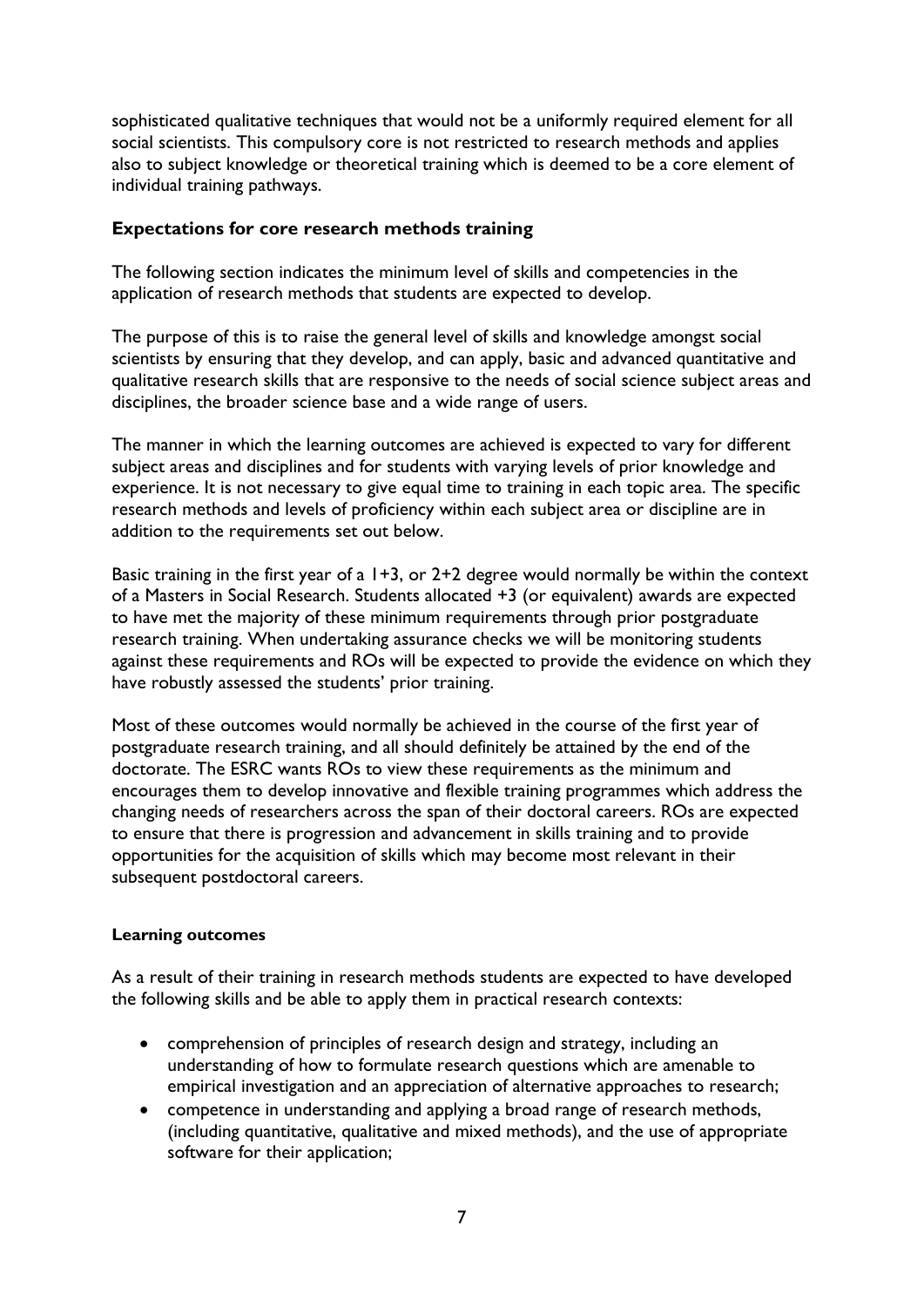sophisticated qualitative techniques that would not be a uniformly required element for all social scientists. This compulsory core is not restricted to research methods and applies also to subject knowledge or theoretical training which is deemed to be a core element of individual training pathways.

### <span id="page-7-0"></span>**Expectations for core research methods training**

The following section indicates the minimum level of skills and competencies in the application of research methods that students are expected to develop.

The purpose of this is to raise the general level of skills and knowledge amongst social scientists by ensuring that they develop, and can apply, basic and advanced quantitative and qualitative research skills that are responsive to the needs of social science subject areas and disciplines, the broader science base and a wide range of users.

The manner in which the learning outcomes are achieved is expected to vary for different subject areas and disciplines and for students with varying levels of prior knowledge and experience. It is not necessary to give equal time to training in each topic area. The specific research methods and levels of proficiency within each subject area or discipline are in addition to the requirements set out below.

Basic training in the first year of a  $1+3$ , or  $2+2$  degree would normally be within the context of a Masters in Social Research. Students allocated +3 (or equivalent) awards are expected to have met the majority of these minimum requirements through prior postgraduate research training. When undertaking assurance checks we will be monitoring students against these requirements and ROs will be expected to provide the evidence on which they have robustly assessed the students' prior training.

Most of these outcomes would normally be achieved in the course of the first year of postgraduate research training, and all should definitely be attained by the end of the doctorate. The ESRC wants ROs to view these requirements as the minimum and encourages them to develop innovative and flexible training programmes which address the changing needs of researchers across the span of their doctoral careers. ROs are expected to ensure that there is progression and advancement in skills training and to provide opportunities for the acquisition of skills which may become most relevant in their subsequent postdoctoral careers.

### <span id="page-7-1"></span>**Learning outcomes**

As a result of their training in research methods students are expected to have developed the following skills and be able to apply them in practical research contexts:

- comprehension of principles of research design and strategy, including an understanding of how to formulate research questions which are amenable to empirical investigation and an appreciation of alternative approaches to research;
- competence in understanding and applying a broad range of research methods, (including quantitative, qualitative and mixed methods), and the use of appropriate software for their application;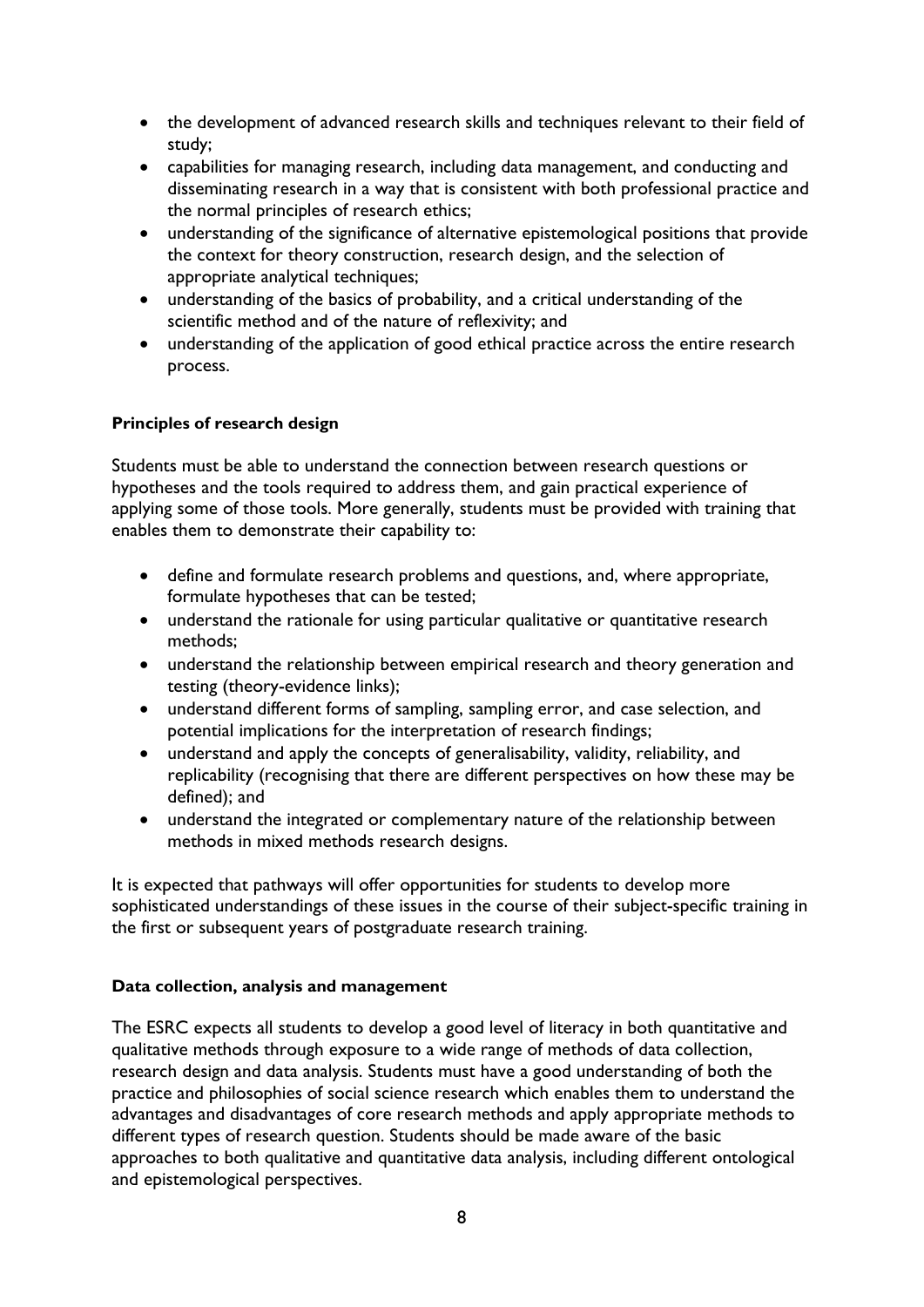- the development of advanced research skills and techniques relevant to their field of study;
- capabilities for managing research, including data management, and conducting and disseminating research in a way that is consistent with both professional practice and the normal principles of research ethics;
- understanding of the significance of alternative epistemological positions that provide the context for theory construction, research design, and the selection of appropriate analytical techniques;
- understanding of the basics of probability, and a critical understanding of the scientific method and of the nature of reflexivity; and
- understanding of the application of good ethical practice across the entire research process.

### <span id="page-8-0"></span>**Principles of research design**

Students must be able to understand the connection between research questions or hypotheses and the tools required to address them, and gain practical experience of applying some of those tools. More generally, students must be provided with training that enables them to demonstrate their capability to:

- define and formulate research problems and questions, and, where appropriate, formulate hypotheses that can be tested;
- understand the rationale for using particular qualitative or quantitative research methods;
- understand the relationship between empirical research and theory generation and testing (theory-evidence links);
- understand different forms of sampling, sampling error, and case selection, and potential implications for the interpretation of research findings;
- understand and apply the concepts of generalisability, validity, reliability, and replicability (recognising that there are different perspectives on how these may be defined); and
- understand the integrated or complementary nature of the relationship between methods in mixed methods research designs.

It is expected that pathways will offer opportunities for students to develop more sophisticated understandings of these issues in the course of their subject-specific training in the first or subsequent years of postgraduate research training.

### <span id="page-8-1"></span>**Data collection, analysis and management**

The ESRC expects all students to develop a good level of literacy in both quantitative and qualitative methods through exposure to a wide range of methods of data collection, research design and data analysis. Students must have a good understanding of both the practice and philosophies of social science research which enables them to understand the advantages and disadvantages of core research methods and apply appropriate methods to different types of research question. Students should be made aware of the basic approaches to both qualitative and quantitative data analysis, including different ontological and epistemological perspectives.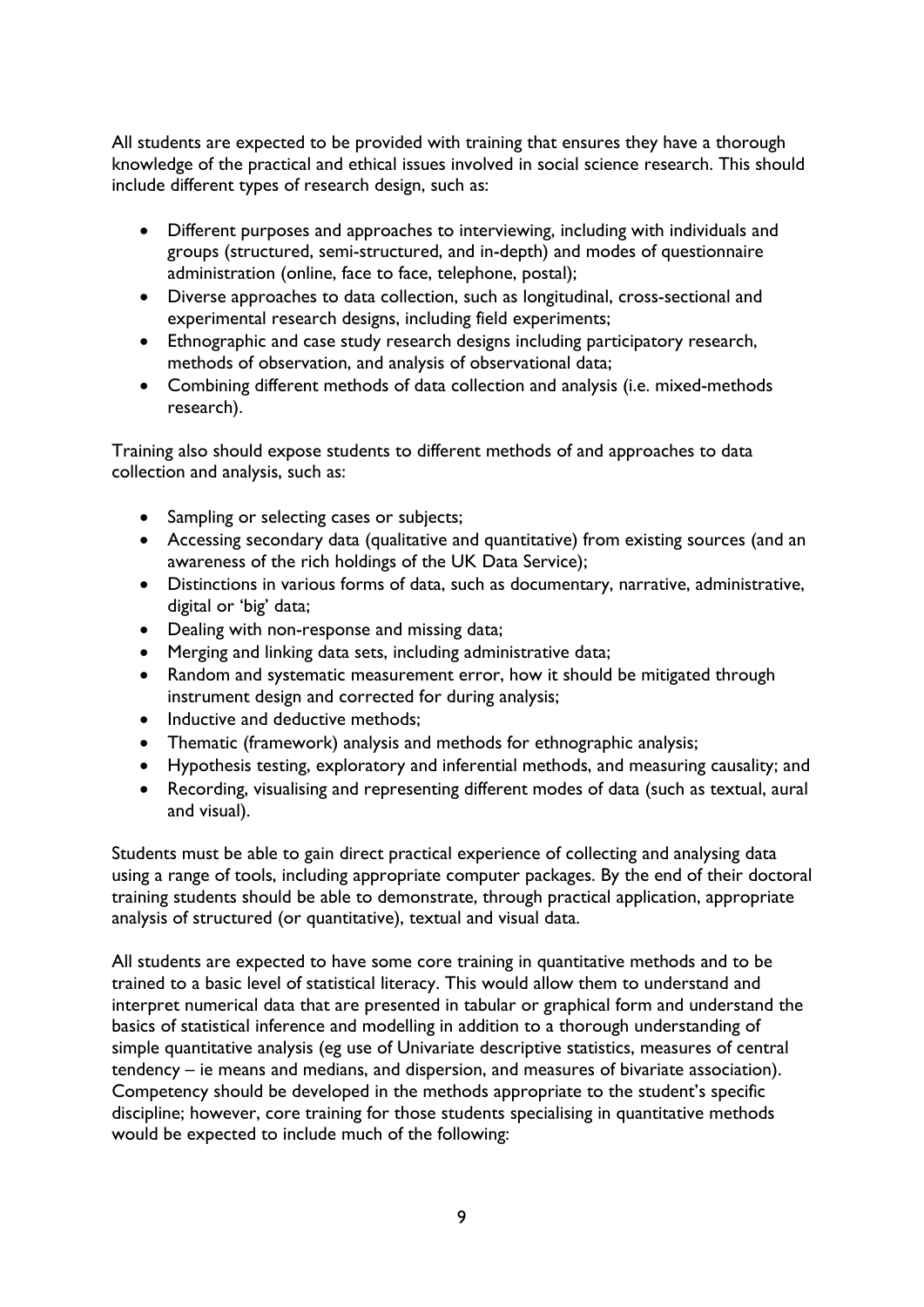All students are expected to be provided with training that ensures they have a thorough knowledge of the practical and ethical issues involved in social science research. This should include different types of research design, such as:

- Different purposes and approaches to interviewing, including with individuals and groups (structured, semi-structured, and in-depth) and modes of questionnaire administration (online, face to face, telephone, postal);
- Diverse approaches to data collection, such as longitudinal, cross-sectional and experimental research designs, including field experiments;
- Ethnographic and case study research designs including participatory research, methods of observation, and analysis of observational data;
- Combining different methods of data collection and analysis (i.e. mixed-methods research).

Training also should expose students to different methods of and approaches to data collection and analysis, such as:

- Sampling or selecting cases or subjects;
- Accessing secondary data (qualitative and quantitative) from existing sources (and an awareness of the rich holdings of the UK Data Service);
- Distinctions in various forms of data, such as documentary, narrative, administrative, digital or 'big' data;
- Dealing with non-response and missing data;
- Merging and linking data sets, including administrative data;
- Random and systematic measurement error, how it should be mitigated through instrument design and corrected for during analysis;
- Inductive and deductive methods;
- Thematic (framework) analysis and methods for ethnographic analysis;
- Hypothesis testing, exploratory and inferential methods, and measuring causality; and
- Recording, visualising and representing different modes of data (such as textual, aural and visual).

Students must be able to gain direct practical experience of collecting and analysing data using a range of tools, including appropriate computer packages. By the end of their doctoral training students should be able to demonstrate, through practical application, appropriate analysis of structured (or quantitative), textual and visual data.

All students are expected to have some core training in quantitative methods and to be trained to a basic level of statistical literacy. This would allow them to understand and interpret numerical data that are presented in tabular or graphical form and understand the basics of statistical inference and modelling in addition to a thorough understanding of simple quantitative analysis (eg use of Univariate descriptive statistics, measures of central tendency – ie means and medians, and dispersion, and measures of bivariate association). Competency should be developed in the methods appropriate to the student's specific discipline; however, core training for those students specialising in quantitative methods would be expected to include much of the following: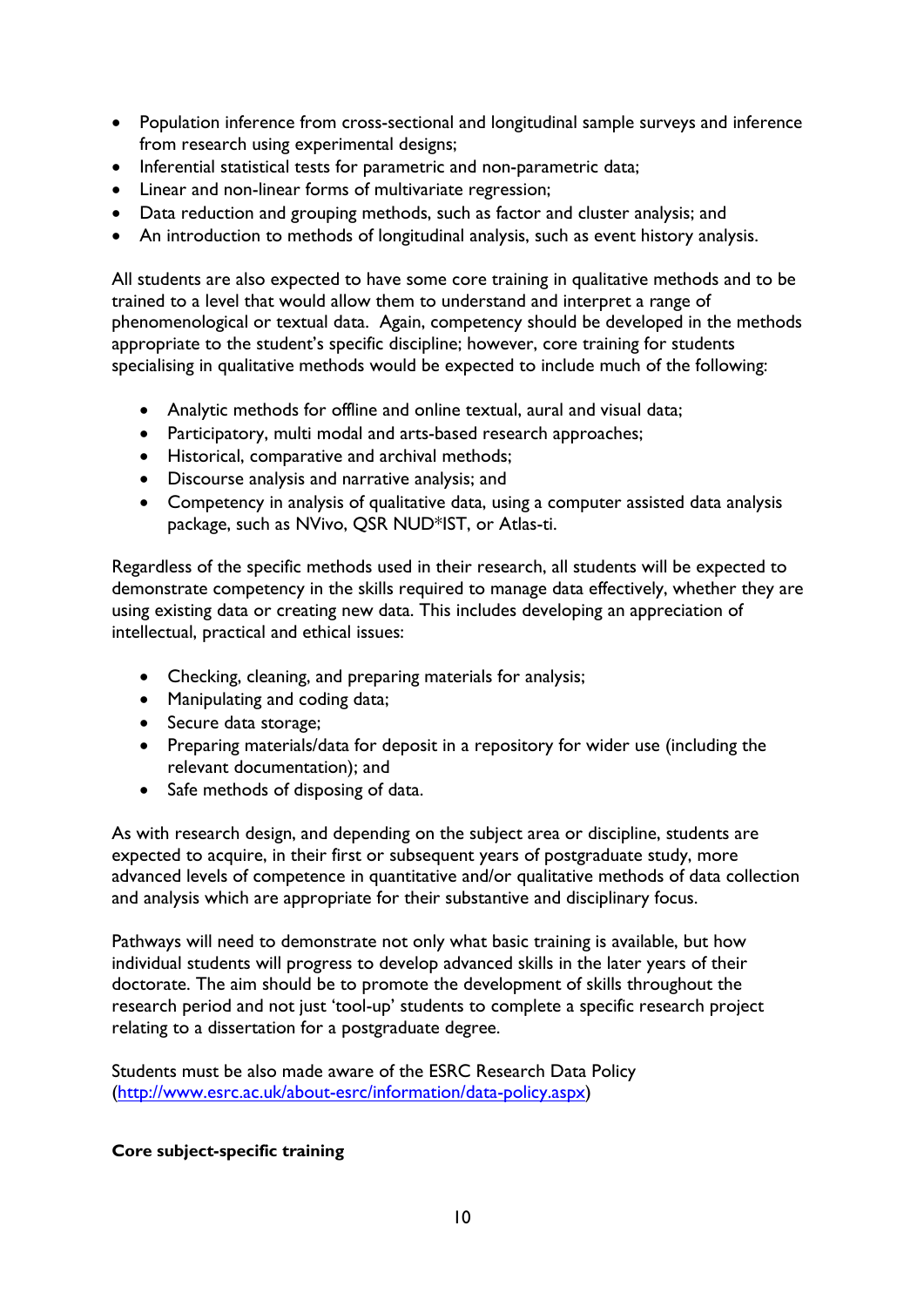- Population inference from cross-sectional and longitudinal sample surveys and inference from research using experimental designs;
- Inferential statistical tests for parametric and non-parametric data;
- Linear and non-linear forms of multivariate regression;
- Data reduction and grouping methods, such as factor and cluster analysis; and
- An introduction to methods of longitudinal analysis, such as event history analysis.

All students are also expected to have some core training in qualitative methods and to be trained to a level that would allow them to understand and interpret a range of phenomenological or textual data. Again, competency should be developed in the methods appropriate to the student's specific discipline; however, core training for students specialising in qualitative methods would be expected to include much of the following:

- Analytic methods for offline and online textual, aural and visual data;
- Participatory, multi modal and arts-based research approaches;
- Historical, comparative and archival methods;
- Discourse analysis and narrative analysis; and
- Competency in analysis of qualitative data, using a computer assisted data analysis package, such as NVivo, QSR NUD\*IST, or Atlas-ti.

Regardless of the specific methods used in their research, all students will be expected to demonstrate competency in the skills required to manage data effectively, whether they are using existing data or creating new data. This includes developing an appreciation of intellectual, practical and ethical issues:

- Checking, cleaning, and preparing materials for analysis;
- Manipulating and coding data;
- Secure data storage;
- Preparing materials/data for deposit in a repository for wider use (including the relevant documentation); and
- Safe methods of disposing of data.

As with research design, and depending on the subject area or discipline, students are expected to acquire, in their first or subsequent years of postgraduate study, more advanced levels of competence in quantitative and/or qualitative methods of data collection and analysis which are appropriate for their substantive and disciplinary focus.

Pathways will need to demonstrate not only what basic training is available, but how individual students will progress to develop advanced skills in the later years of their doctorate. The aim should be to promote the development of skills throughout the research period and not just 'tool-up' students to complete a specific research project relating to a dissertation for a postgraduate degree.

Students must be also made aware of the ESRC Research Data Policy [\(http://www.esrc.ac.uk/about-esrc/information/data-policy.aspx\)](http://www.esrc.ac.uk/about-esrc/information/data-policy.aspx)

### <span id="page-10-0"></span>**Core subject-specific training**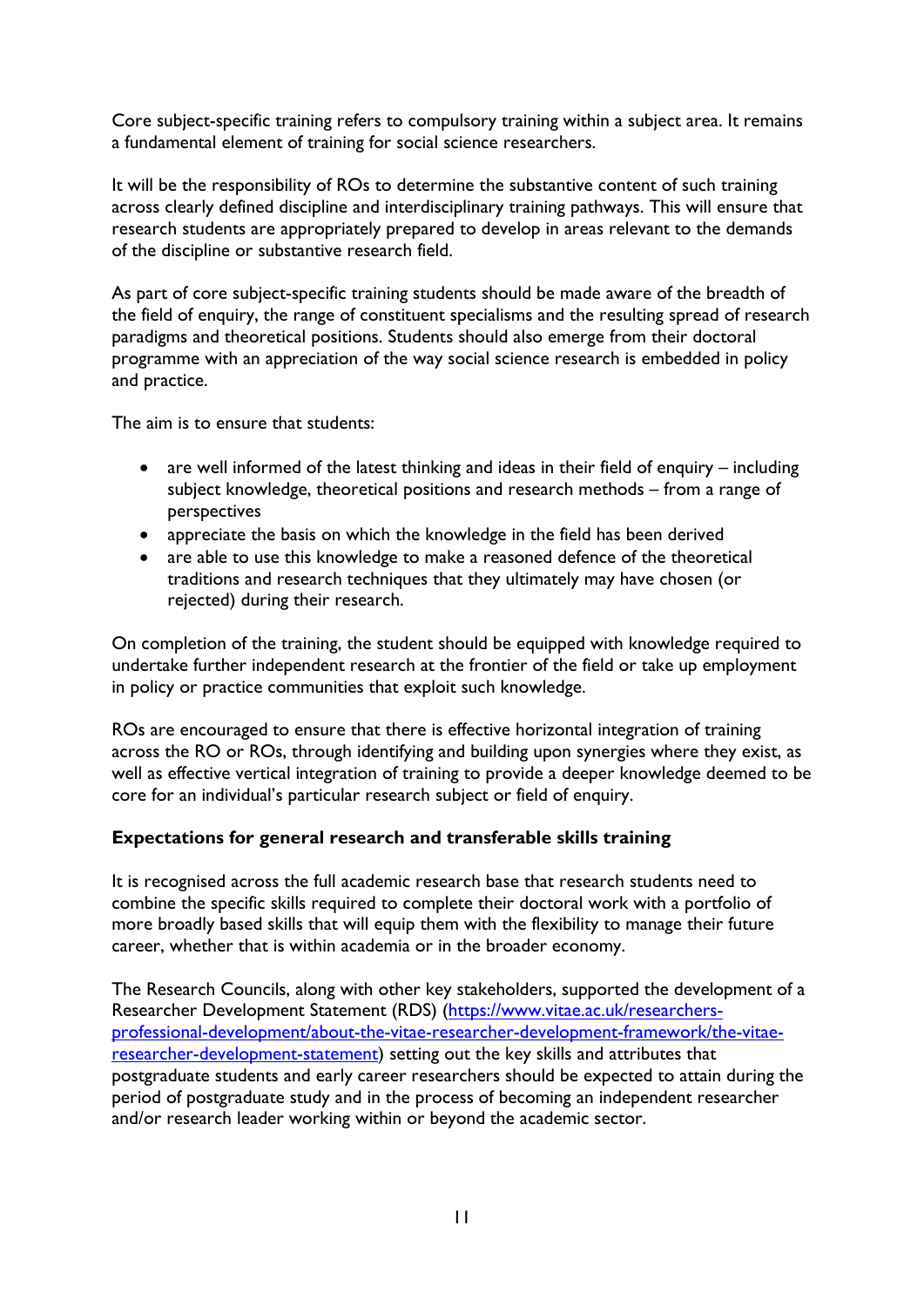Core subject-specific training refers to compulsory training within a subject area. It remains a fundamental element of training for social science researchers.

It will be the responsibility of ROs to determine the substantive content of such training across clearly defined discipline and interdisciplinary training pathways. This will ensure that research students are appropriately prepared to develop in areas relevant to the demands of the discipline or substantive research field.

As part of core subject-specific training students should be made aware of the breadth of the field of enquiry, the range of constituent specialisms and the resulting spread of research paradigms and theoretical positions. Students should also emerge from their doctoral programme with an appreciation of the way social science research is embedded in policy and practice.

The aim is to ensure that students:

- are well informed of the latest thinking and ideas in their field of enquiry including subject knowledge, theoretical positions and research methods – from a range of perspectives
- appreciate the basis on which the knowledge in the field has been derived
- are able to use this knowledge to make a reasoned defence of the theoretical traditions and research techniques that they ultimately may have chosen (or rejected) during their research.

On completion of the training, the student should be equipped with knowledge required to undertake further independent research at the frontier of the field or take up employment in policy or practice communities that exploit such knowledge.

ROs are encouraged to ensure that there is effective horizontal integration of training across the RO or ROs, through identifying and building upon synergies where they exist, as well as effective vertical integration of training to provide a deeper knowledge deemed to be core for an individual's particular research subject or field of enquiry.

### <span id="page-11-0"></span>**Expectations for general research and transferable skills training**

It is recognised across the full academic research base that research students need to combine the specific skills required to complete their doctoral work with a portfolio of more broadly based skills that will equip them with the flexibility to manage their future career, whether that is within academia or in the broader economy.

The Research Councils, along with other key stakeholders, supported the development of a Researcher Development Statement (RDS) [\(https://www.vitae.ac.uk/researchers](https://www.vitae.ac.uk/researchers-professional-development/about-the-vitae-researcher-development-framework/the-vitae-researcher-development-statement)[professional-development/about-the-vitae-researcher-development-framework/the-vitae](https://www.vitae.ac.uk/researchers-professional-development/about-the-vitae-researcher-development-framework/the-vitae-researcher-development-statement)[researcher-development-statement\)](https://www.vitae.ac.uk/researchers-professional-development/about-the-vitae-researcher-development-framework/the-vitae-researcher-development-statement) setting out the key skills and attributes that postgraduate students and early career researchers should be expected to attain during the period of postgraduate study and in the process of becoming an independent researcher and/or research leader working within or beyond the academic sector.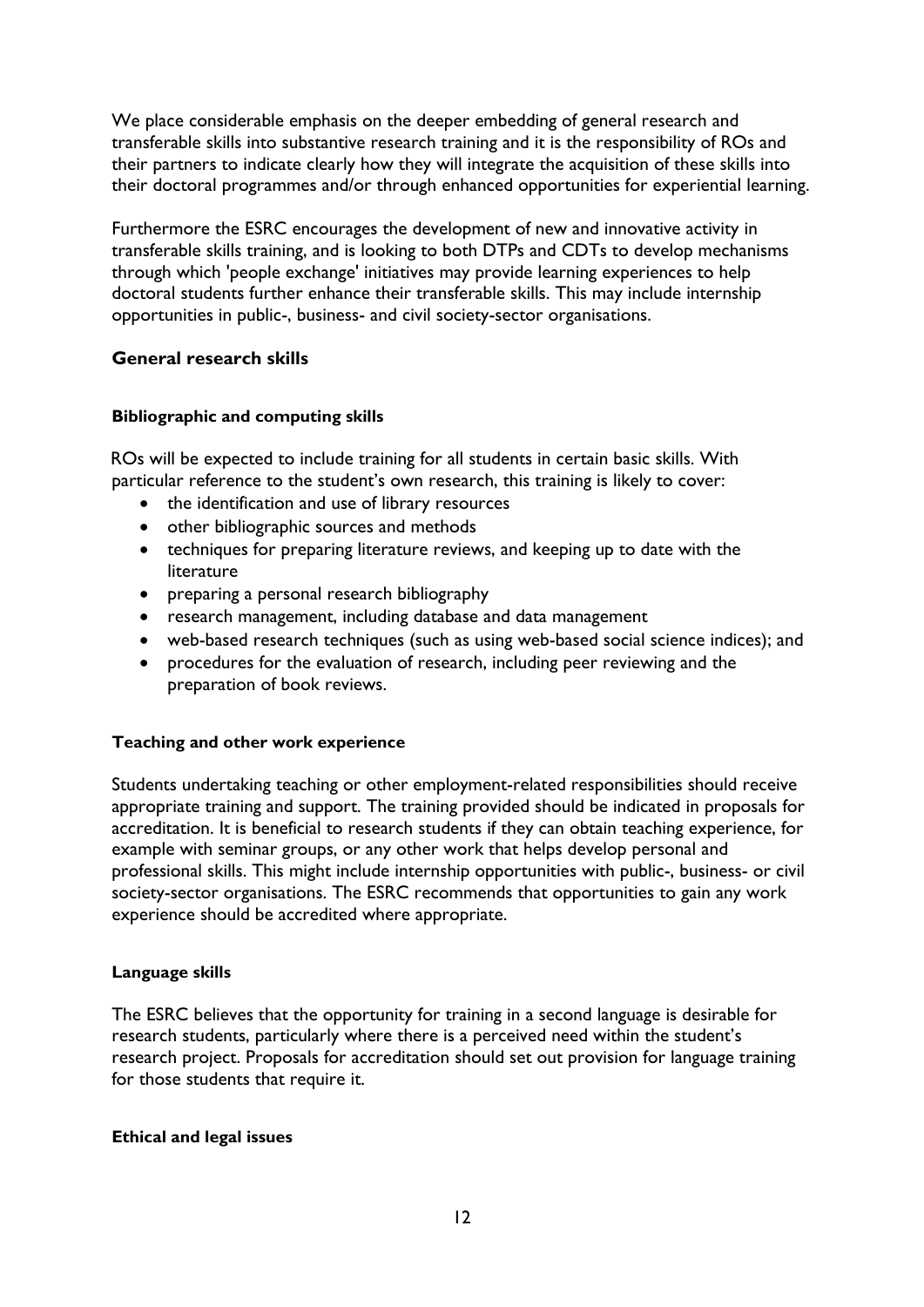We place considerable emphasis on the deeper embedding of general research and transferable skills into substantive research training and it is the responsibility of ROs and their partners to indicate clearly how they will integrate the acquisition of these skills into their doctoral programmes and/or through enhanced opportunities for experiential learning.

Furthermore the ESRC encourages the development of new and innovative activity in transferable skills training, and is looking to both DTPs and CDTs to develop mechanisms through which 'people exchange' initiatives may provide learning experiences to help doctoral students further enhance their transferable skills. This may include internship opportunities in public-, business- and civil society-sector organisations.

### <span id="page-12-0"></span>**General research skills**

### <span id="page-12-1"></span>**Bibliographic and computing skills**

ROs will be expected to include training for all students in certain basic skills. With particular reference to the student's own research, this training is likely to cover:

- the identification and use of library resources
- other bibliographic sources and methods
- techniques for preparing literature reviews, and keeping up to date with the literature
- preparing a personal research bibliography
- research management, including database and data management
- web-based research techniques (such as using web-based social science indices); and
- procedures for the evaluation of research, including peer reviewing and the preparation of book reviews.

### <span id="page-12-2"></span>**Teaching and other work experience**

Students undertaking teaching or other employment-related responsibilities should receive appropriate training and support. The training provided should be indicated in proposals for accreditation. It is beneficial to research students if they can obtain teaching experience, for example with seminar groups, or any other work that helps develop personal and professional skills. This might include internship opportunities with public-, business- or civil society-sector organisations. The ESRC recommends that opportunities to gain any work experience should be accredited where appropriate.

### <span id="page-12-3"></span>**Language skills**

The ESRC believes that the opportunity for training in a second language is desirable for research students, particularly where there is a perceived need within the student's research project. Proposals for accreditation should set out provision for language training for those students that require it.

### <span id="page-12-4"></span>**Ethical and legal issues**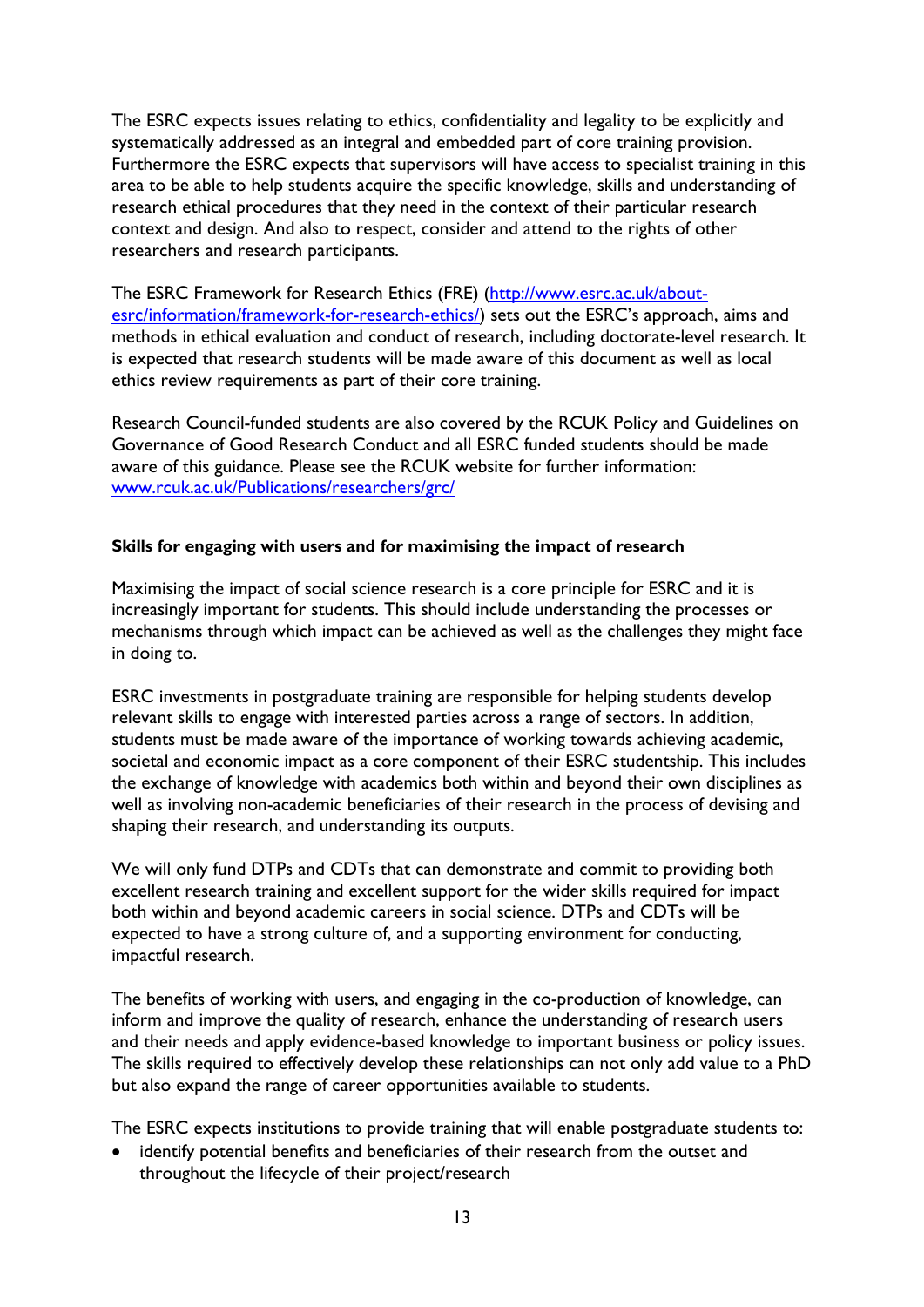The ESRC expects issues relating to ethics, confidentiality and legality to be explicitly and systematically addressed as an integral and embedded part of core training provision. Furthermore the ESRC expects that supervisors will have access to specialist training in this area to be able to help students acquire the specific knowledge, skills and understanding of research ethical procedures that they need in the context of their particular research context and design. And also to respect, consider and attend to the rights of other researchers and research participants.

The ESRC Framework for Research Ethics (FRE) [\(http://www.esrc.ac.uk/about](http://www.esrc.ac.uk/about-esrc/information/framework-for-research-ethics/)[esrc/information/framework-for-research-ethics/\)](http://www.esrc.ac.uk/about-esrc/information/framework-for-research-ethics/) sets out the ESRC's approach, aims and methods in ethical evaluation and conduct of research, including doctorate-level research. It is expected that research students will be made aware of this document as well as local ethics review requirements as part of their core training.

Research Council-funded students are also covered by the RCUK Policy and Guidelines on Governance of Good Research Conduct and all ESRC funded students should be made aware of this guidance. Please see the RCUK website for further information: [www.rcuk.ac.uk/Publications/researchers/grc/](http://www.rcuk.ac.uk/Publications/researchers/grc/)

### <span id="page-13-0"></span>**Skills for engaging with users and for maximising the impact of research**

Maximising the impact of social science research is a core principle for ESRC and it is increasingly important for students. This should include understanding the processes or mechanisms through which impact can be achieved as well as the challenges they might face in doing to.

ESRC investments in postgraduate training are responsible for helping students develop relevant skills to engage with interested parties across a range of sectors. In addition, students must be made aware of the importance of working towards achieving academic, societal and economic impact as a core component of their ESRC studentship. This includes the exchange of knowledge with academics both within and beyond their own disciplines as well as involving non-academic beneficiaries of their research in the process of devising and shaping their research, and understanding its outputs.

We will only fund DTPs and CDTs that can demonstrate and commit to providing both excellent research training and excellent support for the wider skills required for impact both within and beyond academic careers in social science. DTPs and CDTs will be expected to have a strong culture of, and a supporting environment for conducting, impactful research.

The benefits of working with users, and engaging in the co-production of knowledge, can inform and improve the quality of research, enhance the understanding of research users and their needs and apply evidence-based knowledge to important business or policy issues. The skills required to effectively develop these relationships can not only add value to a PhD but also expand the range of career opportunities available to students.

The ESRC expects institutions to provide training that will enable postgraduate students to:

• identify potential benefits and beneficiaries of their research from the outset and throughout the lifecycle of their project/research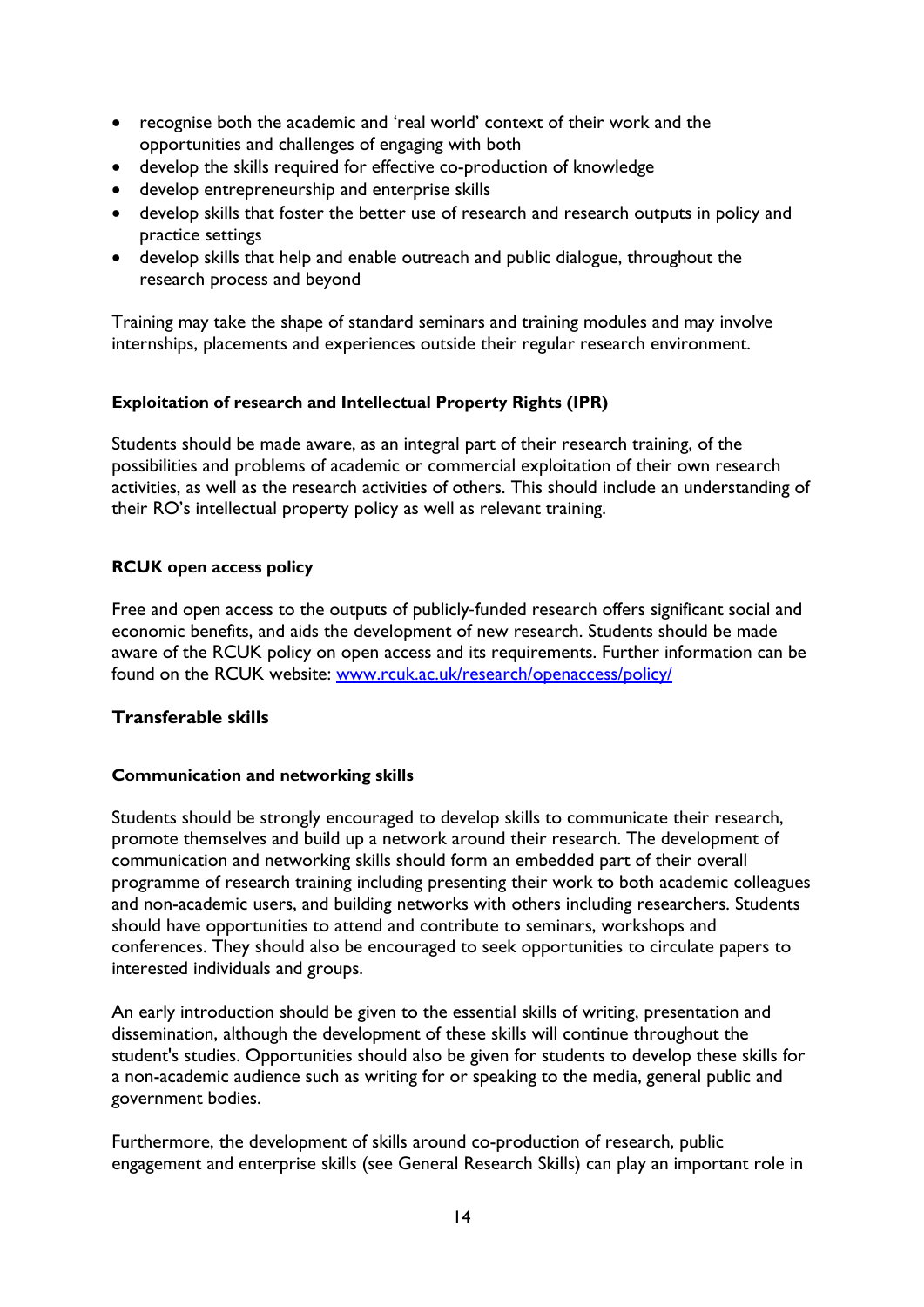- recognise both the academic and 'real world' context of their work and the opportunities and challenges of engaging with both
- develop the skills required for effective co-production of knowledge
- develop entrepreneurship and enterprise skills
- develop skills that foster the better use of research and research outputs in policy and practice settings
- develop skills that help and enable outreach and public dialogue, throughout the research process and beyond

Training may take the shape of standard seminars and training modules and may involve internships, placements and experiences outside their regular research environment.

### <span id="page-14-0"></span>**Exploitation of research and Intellectual Property Rights (IPR)**

Students should be made aware, as an integral part of their research training, of the possibilities and problems of academic or commercial exploitation of their own research activities, as well as the research activities of others. This should include an understanding of their RO's intellectual property policy as well as relevant training.

# <span id="page-14-1"></span>**RCUK open access policy**

Free and open access to the outputs of publicly-funded research offers significant social and economic benefits, and aids the development of new research. Students should be made aware of the RCUK policy on open access and its requirements. Further information can be found on the RCUK website: [www.rcuk.ac.uk/research/openaccess/policy/](http://www.rcuk.ac.uk/research/openaccess/policy/)

### <span id="page-14-2"></span>**Transferable skills**

### <span id="page-14-3"></span>**Communication and networking skills**

Students should be strongly encouraged to develop skills to communicate their research, promote themselves and build up a network around their research. The development of communication and networking skills should form an embedded part of their overall programme of research training including presenting their work to both academic colleagues and non-academic users, and building networks with others including researchers. Students should have opportunities to attend and contribute to seminars, workshops and conferences. They should also be encouraged to seek opportunities to circulate papers to interested individuals and groups.

An early introduction should be given to the essential skills of writing, presentation and dissemination, although the development of these skills will continue throughout the student's studies. Opportunities should also be given for students to develop these skills for a non-academic audience such as writing for or speaking to the media, general public and government bodies.

Furthermore, the development of skills around co-production of research, public engagement and enterprise skills (see General Research Skills) can play an important role in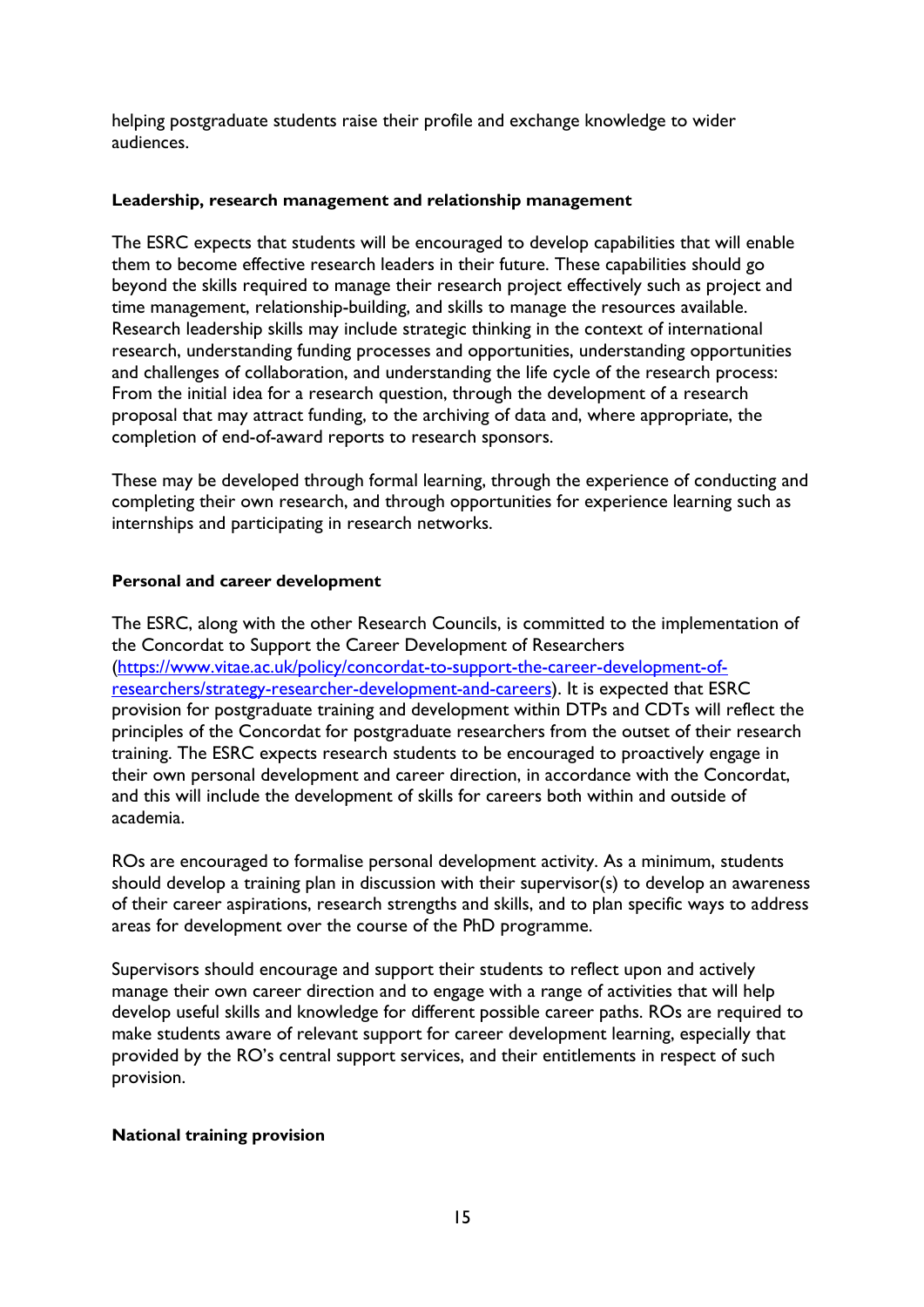helping postgraduate students raise their profile and exchange knowledge to wider audiences.

### <span id="page-15-0"></span>**Leadership, research management and relationship management**

The ESRC expects that students will be encouraged to develop capabilities that will enable them to become effective research leaders in their future. These capabilities should go beyond the skills required to manage their research project effectively such as project and time management, relationship-building, and skills to manage the resources available. Research leadership skills may include strategic thinking in the context of international research, understanding funding processes and opportunities, understanding opportunities and challenges of collaboration, and understanding the life cycle of the research process: From the initial idea for a research question, through the development of a research proposal that may attract funding, to the archiving of data and, where appropriate, the completion of end-of-award reports to research sponsors.

These may be developed through formal learning, through the experience of conducting and completing their own research, and through opportunities for experience learning such as internships and participating in research networks.

### <span id="page-15-1"></span>**Personal and career development**

The ESRC, along with the other Research Councils, is committed to the implementation of the Concordat to Support the Career Development of Researchers [\(https://www.vitae.ac.uk/policy/concordat-to-support-the-career-development-of](https://www.vitae.ac.uk/policy/concordat-to-support-the-career-development-of-researchers/strategy-researcher-development-and-careers)[researchers/strategy-researcher-development-and-careers\)](https://www.vitae.ac.uk/policy/concordat-to-support-the-career-development-of-researchers/strategy-researcher-development-and-careers). It is expected that ESRC provision for postgraduate training and development within DTPs and CDTs will reflect the principles of the Concordat for postgraduate researchers from the outset of their research training. The ESRC expects research students to be encouraged to proactively engage in their own personal development and career direction, in accordance with the Concordat, and this will include the development of skills for careers both within and outside of academia.

ROs are encouraged to formalise personal development activity. As a minimum, students should develop a training plan in discussion with their supervisor(s) to develop an awareness of their career aspirations, research strengths and skills, and to plan specific ways to address areas for development over the course of the PhD programme.

Supervisors should encourage and support their students to reflect upon and actively manage their own career direction and to engage with a range of activities that will help develop useful skills and knowledge for different possible career paths. ROs are required to make students aware of relevant support for career development learning, especially that provided by the RO's central support services, and their entitlements in respect of such provision.

### <span id="page-15-2"></span>**National training provision**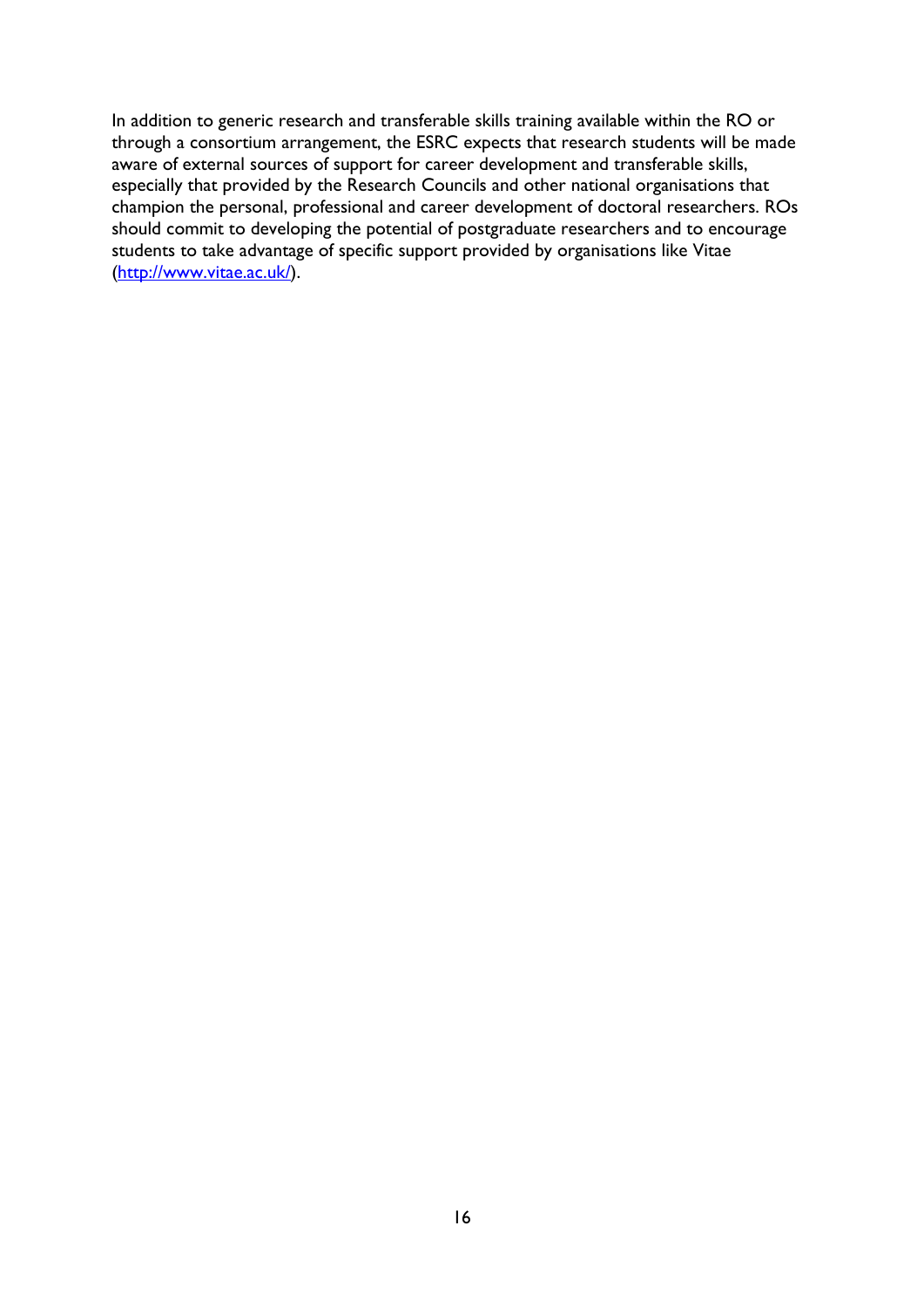In addition to generic research and transferable skills training available within the RO or through a consortium arrangement, the ESRC expects that research students will be made aware of external sources of support for career development and transferable skills, especially that provided by the Research Councils and other national organisations that champion the personal, professional and career development of doctoral researchers. ROs should commit to developing the potential of postgraduate researchers and to encourage students to take advantage of specific support provided by organisations like Vitae [\(http://www.vitae.ac.uk/\)](http://www.vitae.ac.uk/).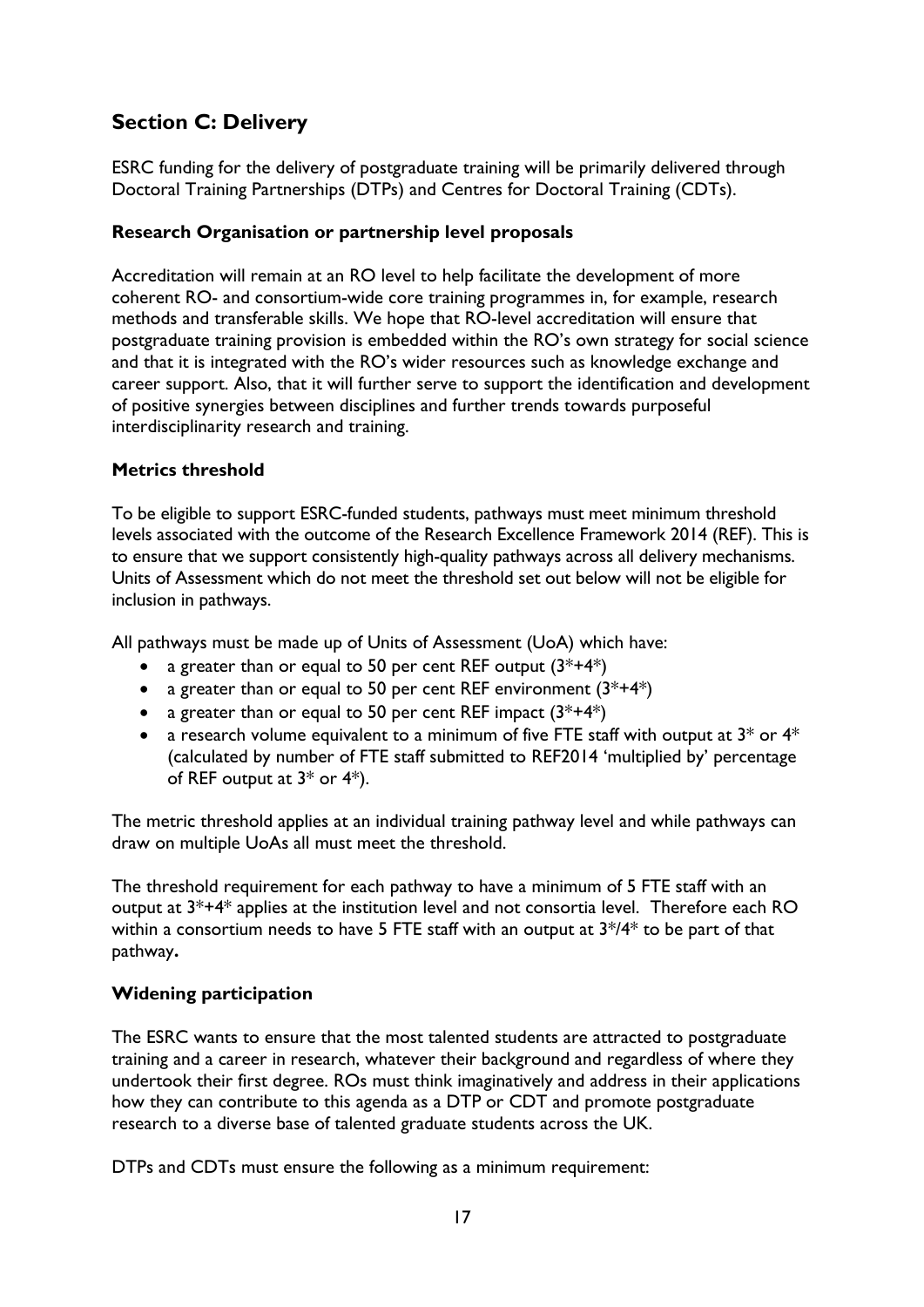# <span id="page-17-0"></span>**Section C: Delivery**

ESRC funding for the delivery of postgraduate training will be primarily delivered through Doctoral Training Partnerships (DTPs) and Centres for Doctoral Training (CDTs).

### <span id="page-17-1"></span>**Research Organisation or partnership level proposals**

Accreditation will remain at an RO level to help facilitate the development of more coherent RO- and consortium-wide core training programmes in, for example, research methods and transferable skills. We hope that RO-level accreditation will ensure that postgraduate training provision is embedded within the RO's own strategy for social science and that it is integrated with the RO's wider resources such as knowledge exchange and career support. Also, that it will further serve to support the identification and development of positive synergies between disciplines and further trends towards purposeful interdisciplinarity research and training.

# <span id="page-17-2"></span>**Metrics threshold**

To be eligible to support ESRC-funded students, pathways must meet minimum threshold levels associated with the outcome of the Research Excellence Framework 2014 (REF). This is to ensure that we support consistently high-quality pathways across all delivery mechanisms. Units of Assessment which do not meet the threshold set out below will not be eligible for inclusion in pathways.

All pathways must be made up of Units of Assessment (UoA) which have:

- a greater than or equal to 50 per cent REF output  $(3^*+4^*)$
- a greater than or equal to 50 per cent REF environment  $(3^*+4^*)$
- a greater than or equal to 50 per cent REF impact  $(3^*+4^*)$
- a research volume equivalent to a minimum of five FTE staff with output at  $3^*$  or  $4^*$ (calculated by number of FTE staff submitted to REF2014 'multiplied by' percentage of REF output at 3\* or 4\*).

The metric threshold applies at an individual training pathway level and while pathways can draw on multiple UoAs all must meet the threshold.

The threshold requirement for each pathway to have a minimum of 5 FTE staff with an output at 3\*+4\* applies at the institution level and not consortia level. Therefore each RO within a consortium needs to have 5 FTE staff with an output at  $3*/4*$  to be part of that pathway**.** 

### <span id="page-17-3"></span>**Widening participation**

The ESRC wants to ensure that the most talented students are attracted to postgraduate training and a career in research, whatever their background and regardless of where they undertook their first degree. ROs must think imaginatively and address in their applications how they can contribute to this agenda as a DTP or CDT and promote postgraduate research to a diverse base of talented graduate students across the UK.

DTPs and CDTs must ensure the following as a minimum requirement: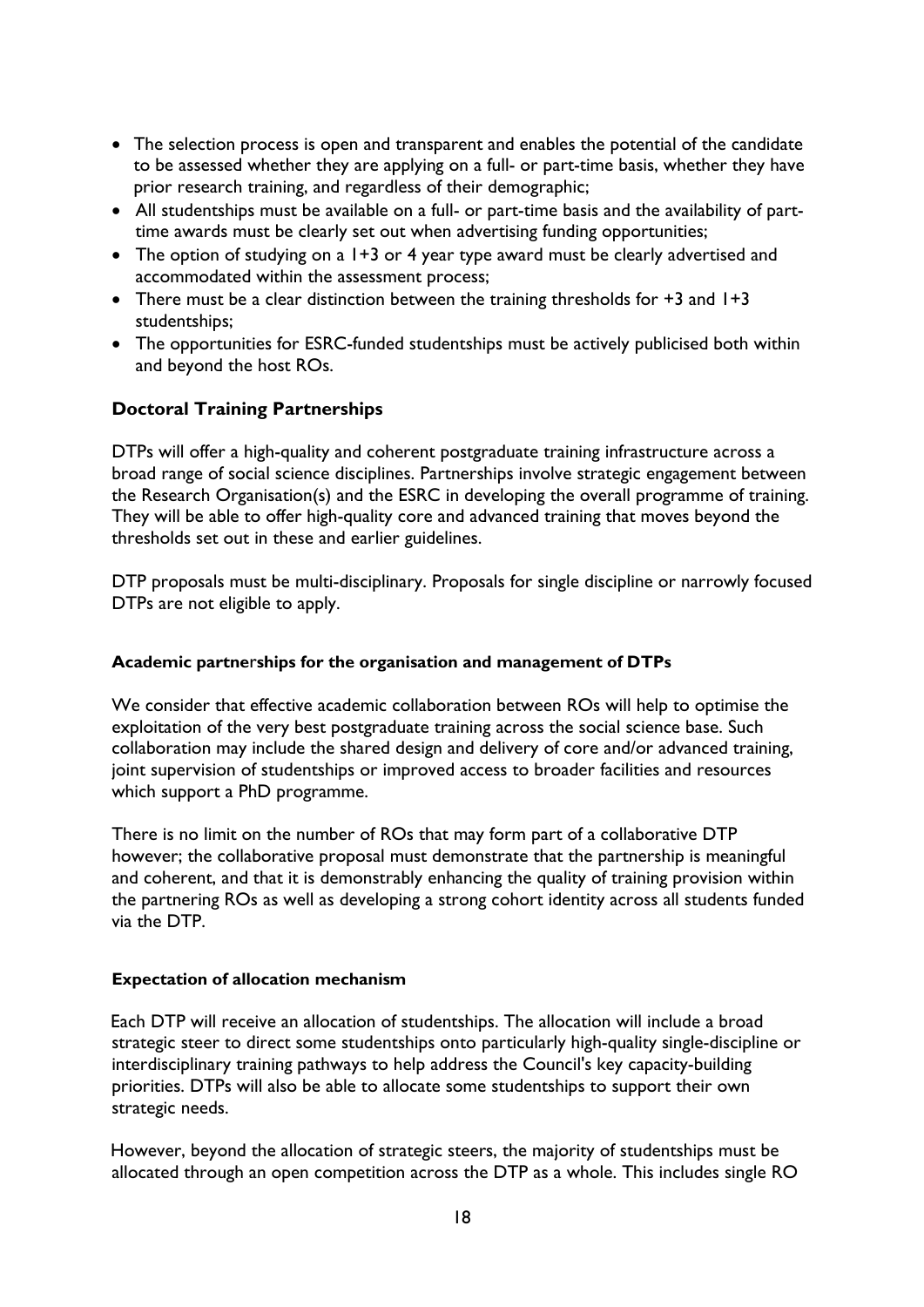- The selection process is open and transparent and enables the potential of the candidate to be assessed whether they are applying on a full- or part-time basis, whether they have prior research training, and regardless of their demographic;
- All studentships must be available on a full- or part-time basis and the availability of parttime awards must be clearly set out when advertising funding opportunities;
- The option of studying on a 1+3 or 4 year type award must be clearly advertised and accommodated within the assessment process;
- There must be a clear distinction between the training thresholds for +3 and 1+3 studentships;
- The opportunities for ESRC-funded studentships must be actively publicised both within and beyond the host ROs.

# <span id="page-18-0"></span>**Doctoral Training Partnerships**

DTPs will offer a high-quality and coherent postgraduate training infrastructure across a broad range of social science disciplines. Partnerships involve strategic engagement between the Research Organisation(s) and the ESRC in developing the overall programme of training. They will be able to offer high-quality core and advanced training that moves beyond the thresholds set out in these and earlier guidelines.

DTP proposals must be multi-disciplinary. Proposals for single discipline or narrowly focused DTPs are not eligible to apply.

### <span id="page-18-1"></span>**Academic partne**r**ships for the organisation and management of DTPs**

We consider that effective academic collaboration between ROs will help to optimise the exploitation of the very best postgraduate training across the social science base. Such collaboration may include the shared design and delivery of core and/or advanced training, joint supervision of studentships or improved access to broader facilities and resources which support a PhD programme.

There is no limit on the number of ROs that may form part of a collaborative DTP however; the collaborative proposal must demonstrate that the partnership is meaningful and coherent, and that it is demonstrably enhancing the quality of training provision within the partnering ROs as well as developing a strong cohort identity across all students funded via the DTP.

### <span id="page-18-2"></span>**Expectation of allocation mechanism**

Each DTP will receive an allocation of studentships. The allocation will include a broad strategic steer to direct some studentships onto particularly high-quality single-discipline or interdisciplinary training pathways to help address the Council's key capacity-building priorities. DTPs will also be able to allocate some studentships to support their own strategic needs.

However, beyond the allocation of strategic steers, the majority of studentships must be allocated through an open competition across the DTP as a whole. This includes single RO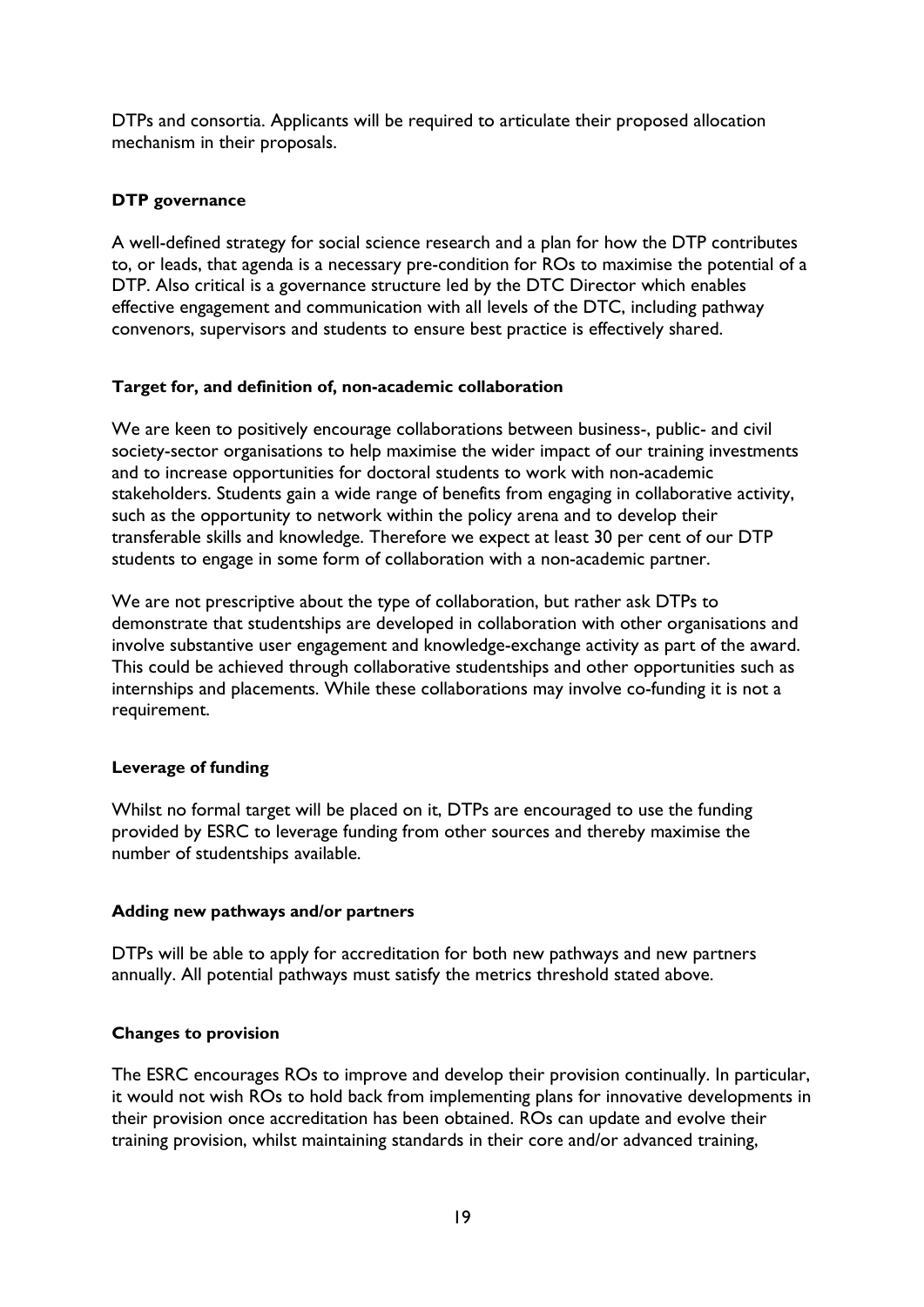DTPs and consortia. Applicants will be required to articulate their proposed allocation mechanism in their proposals.

### <span id="page-19-0"></span>**DTP governance**

A well-defined strategy for social science research and a plan for how the DTP contributes to, or leads, that agenda is a necessary pre-condition for ROs to maximise the potential of a DTP. Also critical is a governance structure led by the DTC Director which enables effective engagement and communication with all levels of the DTC, including pathway convenors, supervisors and students to ensure best practice is effectively shared.

### <span id="page-19-1"></span>**Target for, and definition of, non-academic collaboration**

We are keen to positively encourage collaborations between business-, public- and civil society-sector organisations to help maximise the wider impact of our training investments and to increase opportunities for doctoral students to work with non-academic stakeholders. Students gain a wide range of benefits from engaging in collaborative activity, such as the opportunity to network within the policy arena and to develop their transferable skills and knowledge. Therefore we expect at least 30 per cent of our DTP students to engage in some form of collaboration with a non-academic partner.

We are not prescriptive about the type of collaboration, but rather ask DTPs to demonstrate that studentships are developed in collaboration with other organisations and involve substantive user engagement and knowledge-exchange activity as part of the award. This could be achieved through collaborative studentships and other opportunities such as internships and placements. While these collaborations may involve co-funding it is not a requirement.

### <span id="page-19-2"></span>**Leverage of funding**

Whilst no formal target will be placed on it, DTPs are encouraged to use the funding provided by ESRC to leverage funding from other sources and thereby maximise the number of studentships available.

### <span id="page-19-3"></span>**Adding new pathways and/or partners**

DTPs will be able to apply for accreditation for both new pathways and new partners annually. All potential pathways must satisfy the metrics threshold stated above.

### <span id="page-19-4"></span>**Changes to provision**

The ESRC encourages ROs to improve and develop their provision continually. In particular, it would not wish ROs to hold back from implementing plans for innovative developments in their provision once accreditation has been obtained. ROs can update and evolve their training provision, whilst maintaining standards in their core and/or advanced training,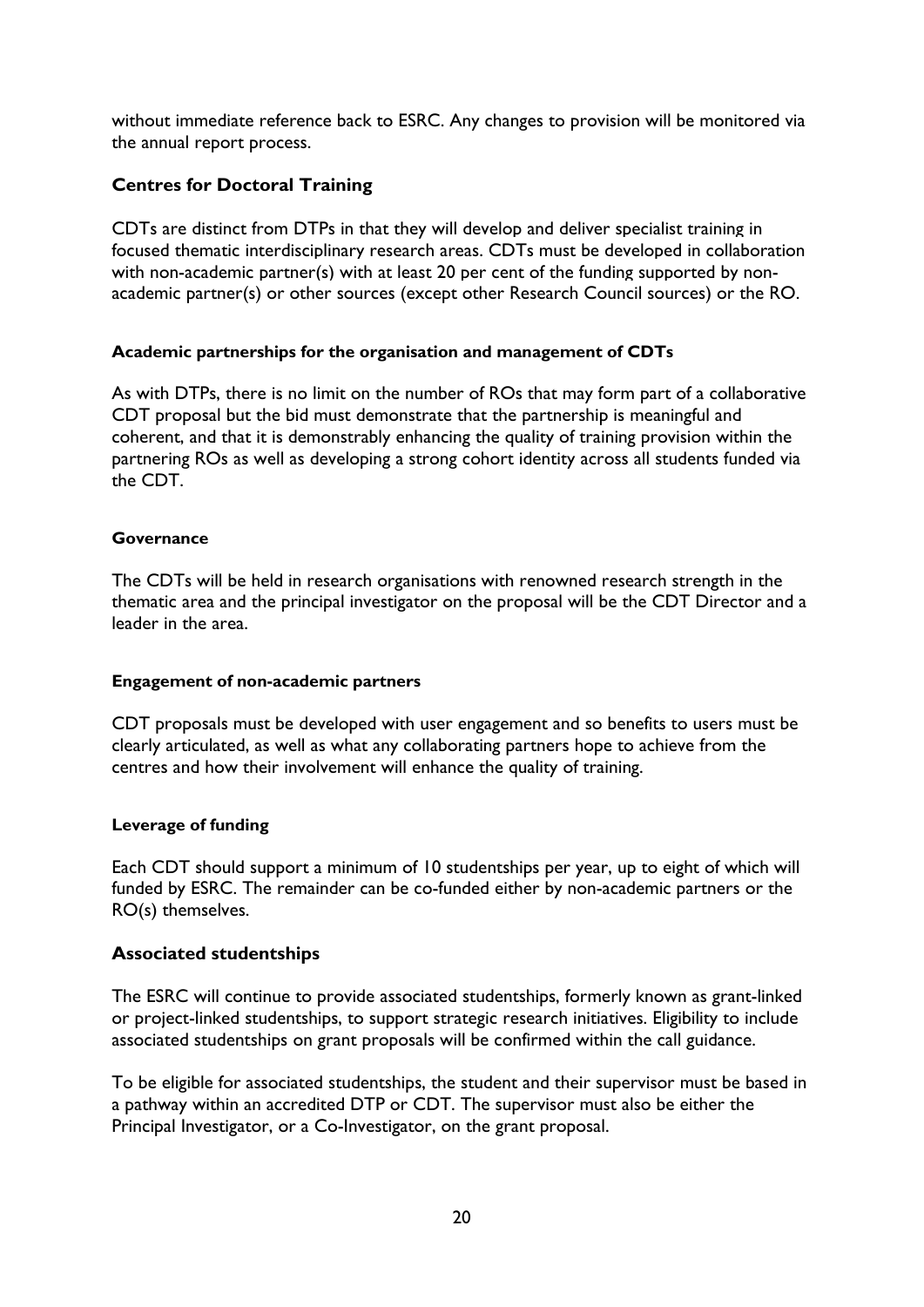without immediate reference back to ESRC. Any changes to provision will be monitored via the annual report process.

# <span id="page-20-0"></span>**Centres for Doctoral Training**

CDTs are distinct from DTPs in that they will develop and deliver specialist training in focused thematic interdisciplinary research areas. CDTs must be developed in collaboration with non-academic partner(s) with at least 20 per cent of the funding supported by nonacademic partner(s) or other sources (except other Research Council sources) or the RO.

### <span id="page-20-1"></span>**Academic partnerships for the organisation and management of CDTs**

As with DTPs, there is no limit on the number of ROs that may form part of a collaborative CDT proposal but the bid must demonstrate that the partnership is meaningful and coherent, and that it is demonstrably enhancing the quality of training provision within the partnering ROs as well as developing a strong cohort identity across all students funded via the CDT.

### <span id="page-20-2"></span>**Governance**

The CDTs will be held in research organisations with renowned research strength in the thematic area and the principal investigator on the proposal will be the CDT Director and a leader in the area.

### <span id="page-20-3"></span>**Engagement of non-academic partners**

CDT proposals must be developed with user engagement and so benefits to users must be clearly articulated, as well as what any collaborating partners hope to achieve from the centres and how their involvement will enhance the quality of training.

### <span id="page-20-4"></span>**Leverage of funding**

Each CDT should support a minimum of 10 studentships per year, up to eight of which will funded by ESRC. The remainder can be co-funded either by non-academic partners or the RO(s) themselves.

# <span id="page-20-5"></span>**Associated studentships**

The ESRC will continue to provide associated studentships, formerly known as grant-linked or project-linked studentships, to support strategic research initiatives. Eligibility to include associated studentships on grant proposals will be confirmed within the call guidance.

To be eligible for associated studentships, the student and their supervisor must be based in a pathway within an accredited DTP or CDT. The supervisor must also be either the Principal Investigator, or a Co-Investigator, on the grant proposal.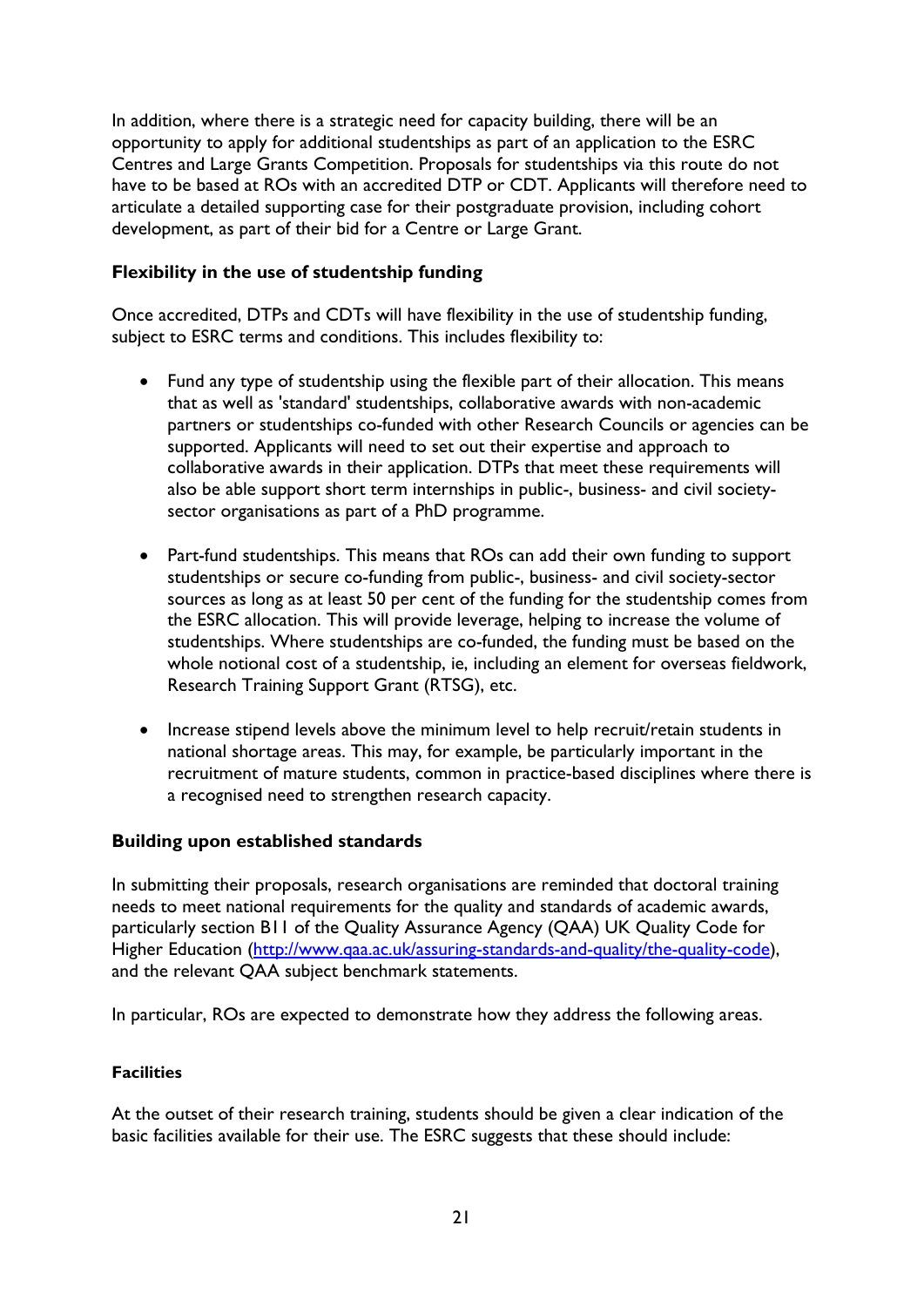In addition, where there is a strategic need for capacity building, there will be an opportunity to apply for additional studentships as part of an application to the ESRC Centres and Large Grants Competition. Proposals for studentships via this route do not have to be based at ROs with an accredited DTP or CDT. Applicants will therefore need to articulate a detailed supporting case for their postgraduate provision, including cohort development, as part of their bid for a Centre or Large Grant.

### <span id="page-21-0"></span>**Flexibility in the use of studentship funding**

Once accredited, DTPs and CDTs will have flexibility in the use of studentship funding, subject to ESRC terms and conditions. This includes flexibility to:

- Fund any type of studentship using the flexible part of their allocation. This means that as well as 'standard' studentships, collaborative awards with non-academic partners or studentships co-funded with other Research Councils or agencies can be supported. Applicants will need to set out their expertise and approach to collaborative awards in their application. DTPs that meet these requirements will also be able support short term internships in public-, business- and civil societysector organisations as part of a PhD programme.
- Part-fund studentships. This means that ROs can add their own funding to support studentships or secure co-funding from public-, business- and civil society-sector sources as long as at least 50 per cent of the funding for the studentship comes from the ESRC allocation. This will provide leverage, helping to increase the volume of studentships. Where studentships are co-funded, the funding must be based on the whole notional cost of a studentship, ie, including an element for overseas fieldwork, Research Training Support Grant (RTSG), etc.
- Increase stipend levels above the minimum level to help recruit/retain students in national shortage areas. This may, for example, be particularly important in the recruitment of mature students, common in practice-based disciplines where there is a recognised need to strengthen research capacity.

### <span id="page-21-1"></span>**Building upon established standards**

In submitting their proposals, research organisations are reminded that doctoral training needs to meet national requirements for the quality and standards of academic awards, particularly section B11 of the Quality Assurance Agency (QAA) UK Quality Code for Higher Education [\(http://www.qaa.ac.uk/assuring-standards-and-quality/the-quality-code\)](http://www.qaa.ac.uk/assuring-standards-and-quality/the-quality-code), and the relevant QAA subject benchmark statements.

In particular, ROs are expected to demonstrate how they address the following areas.

### <span id="page-21-2"></span>**Facilities**

At the outset of their research training, students should be given a clear indication of the basic facilities available for their use. The ESRC suggests that these should include: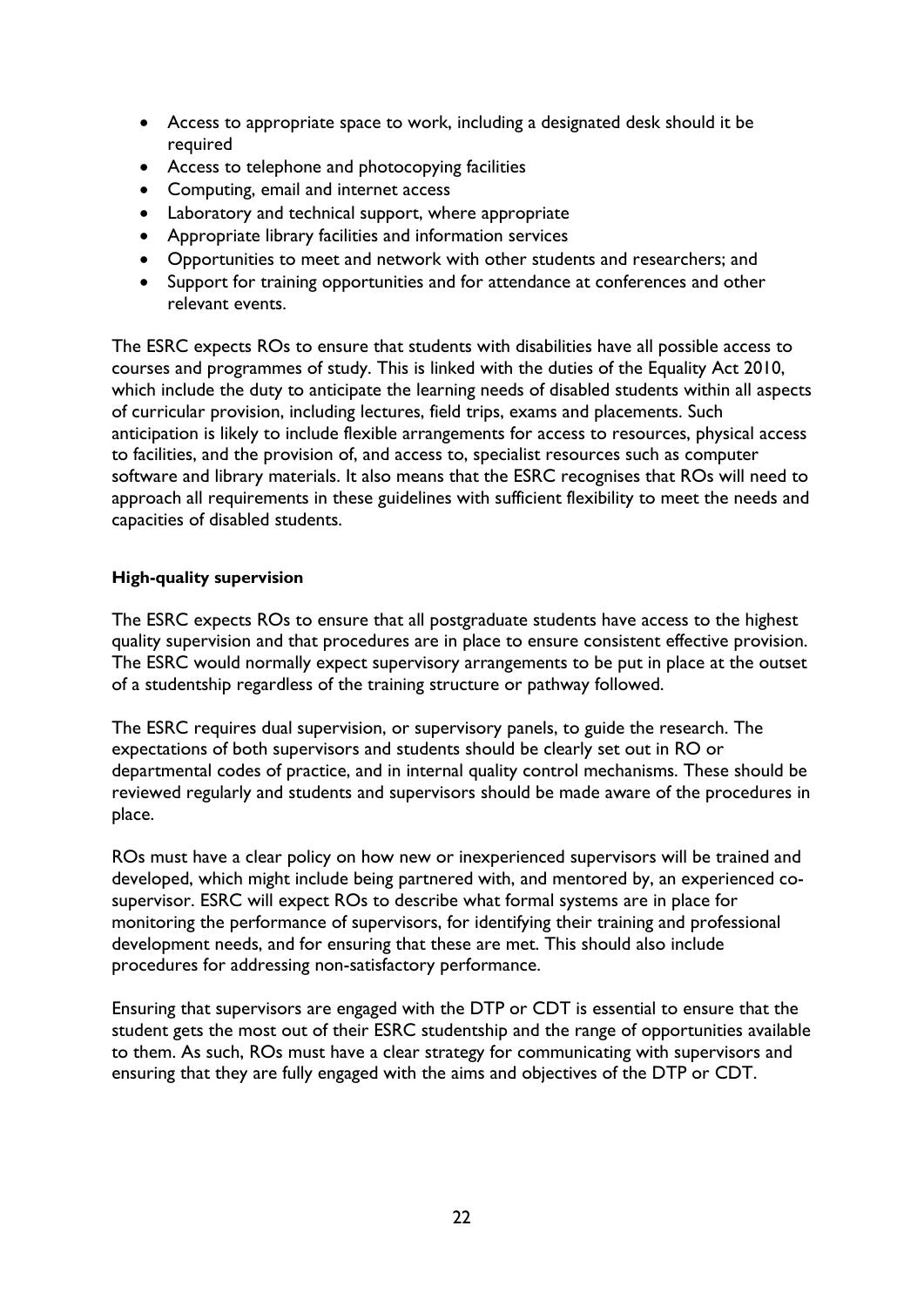- Access to appropriate space to work, including a designated desk should it be required
- Access to telephone and photocopying facilities
- Computing, email and internet access
- Laboratory and technical support, where appropriate
- Appropriate library facilities and information services
- Opportunities to meet and network with other students and researchers; and
- Support for training opportunities and for attendance at conferences and other relevant events.

The ESRC expects ROs to ensure that students with disabilities have all possible access to courses and programmes of study. This is linked with the duties of the Equality Act 2010, which include the duty to anticipate the learning needs of disabled students within all aspects of curricular provision, including lectures, field trips, exams and placements. Such anticipation is likely to include flexible arrangements for access to resources, physical access to facilities, and the provision of, and access to, specialist resources such as computer software and library materials. It also means that the ESRC recognises that ROs will need to approach all requirements in these guidelines with sufficient flexibility to meet the needs and capacities of disabled students.

### <span id="page-22-0"></span>**High-quality supervision**

The ESRC expects ROs to ensure that all postgraduate students have access to the highest quality supervision and that procedures are in place to ensure consistent effective provision. The ESRC would normally expect supervisory arrangements to be put in place at the outset of a studentship regardless of the training structure or pathway followed.

The ESRC requires dual supervision, or supervisory panels, to guide the research. The expectations of both supervisors and students should be clearly set out in RO or departmental codes of practice, and in internal quality control mechanisms. These should be reviewed regularly and students and supervisors should be made aware of the procedures in place.

ROs must have a clear policy on how new or inexperienced supervisors will be trained and developed, which might include being partnered with, and mentored by, an experienced cosupervisor. ESRC will expect ROs to describe what formal systems are in place for monitoring the performance of supervisors, for identifying their training and professional development needs, and for ensuring that these are met. This should also include procedures for addressing non-satisfactory performance.

Ensuring that supervisors are engaged with the DTP or CDT is essential to ensure that the student gets the most out of their ESRC studentship and the range of opportunities available to them. As such, ROs must have a clear strategy for communicating with supervisors and ensuring that they are fully engaged with the aims and objectives of the DTP or CDT.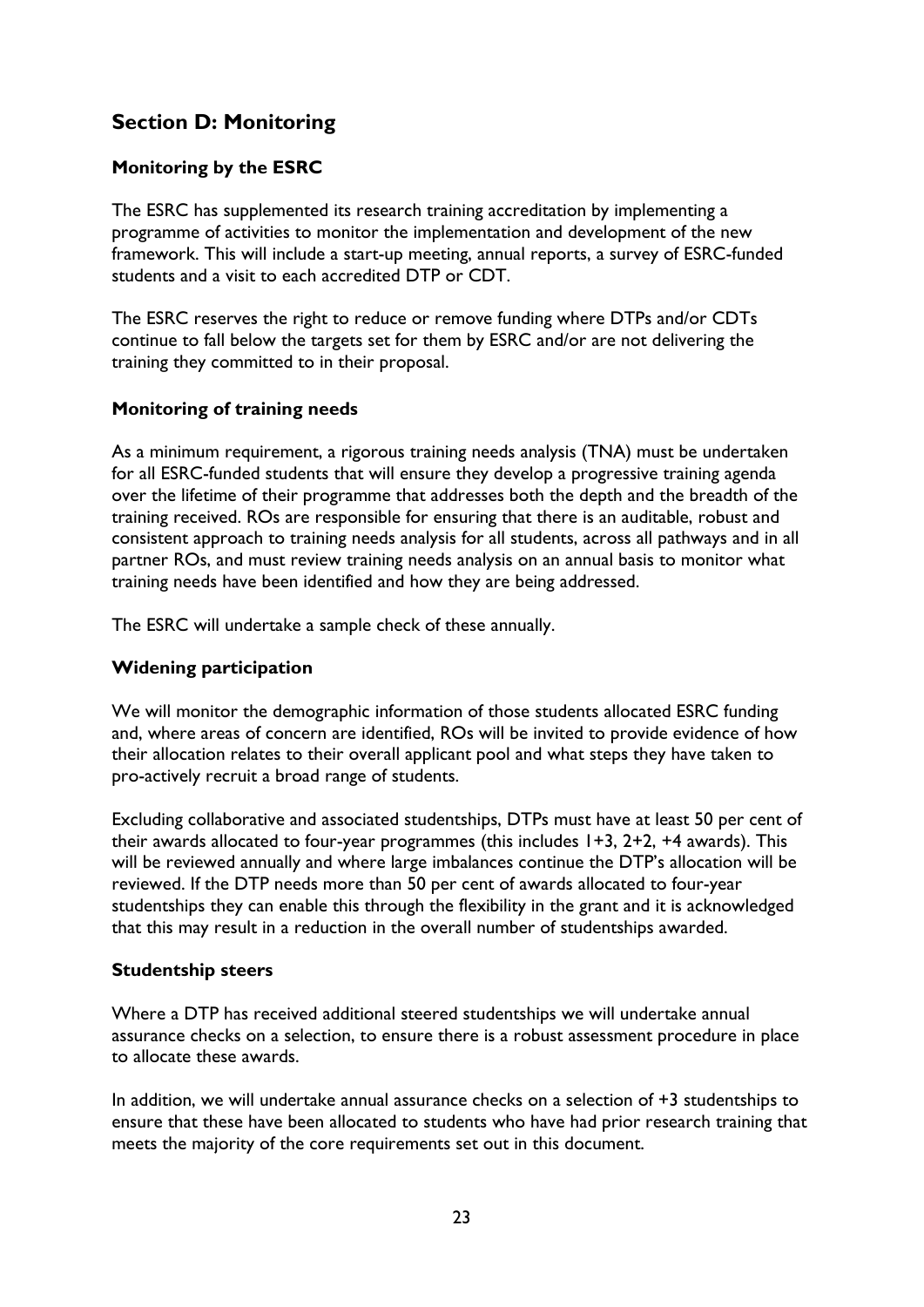# <span id="page-23-0"></span>**Section D: Monitoring**

# <span id="page-23-1"></span>**Monitoring by the ESRC**

The ESRC has supplemented its research training accreditation by implementing a programme of activities to monitor the implementation and development of the new framework. This will include a start-up meeting, annual reports, a survey of ESRC-funded students and a visit to each accredited DTP or CDT.

The ESRC reserves the right to reduce or remove funding where DTPs and/or CDTs continue to fall below the targets set for them by ESRC and/or are not delivering the training they committed to in their proposal.

# <span id="page-23-2"></span>**Monitoring of training needs**

As a minimum requirement, a rigorous training needs analysis (TNA) must be undertaken for all ESRC-funded students that will ensure they develop a progressive training agenda over the lifetime of their programme that addresses both the depth and the breadth of the training received. ROs are responsible for ensuring that there is an auditable, robust and consistent approach to training needs analysis for all students, across all pathways and in all partner ROs, and must review training needs analysis on an annual basis to monitor what training needs have been identified and how they are being addressed.

The ESRC will undertake a sample check of these annually.

# <span id="page-23-3"></span>**Widening participation**

We will monitor the demographic information of those students allocated ESRC funding and, where areas of concern are identified, ROs will be invited to provide evidence of how their allocation relates to their overall applicant pool and what steps they have taken to pro-actively recruit a broad range of students.

Excluding collaborative and associated studentships, DTPs must have at least 50 per cent of their awards allocated to four-year programmes (this includes 1+3, 2+2, +4 awards). This will be reviewed annually and where large imbalances continue the DTP's allocation will be reviewed. If the DTP needs more than 50 per cent of awards allocated to four-year studentships they can enable this through the flexibility in the grant and it is acknowledged that this may result in a reduction in the overall number of studentships awarded.

### <span id="page-23-4"></span>**Studentship steers**

Where a DTP has received additional steered studentships we will undertake annual assurance checks on a selection, to ensure there is a robust assessment procedure in place to allocate these awards.

In addition, we will undertake annual assurance checks on a selection of +3 studentships to ensure that these have been allocated to students who have had prior research training that meets the majority of the core requirements set out in this document.